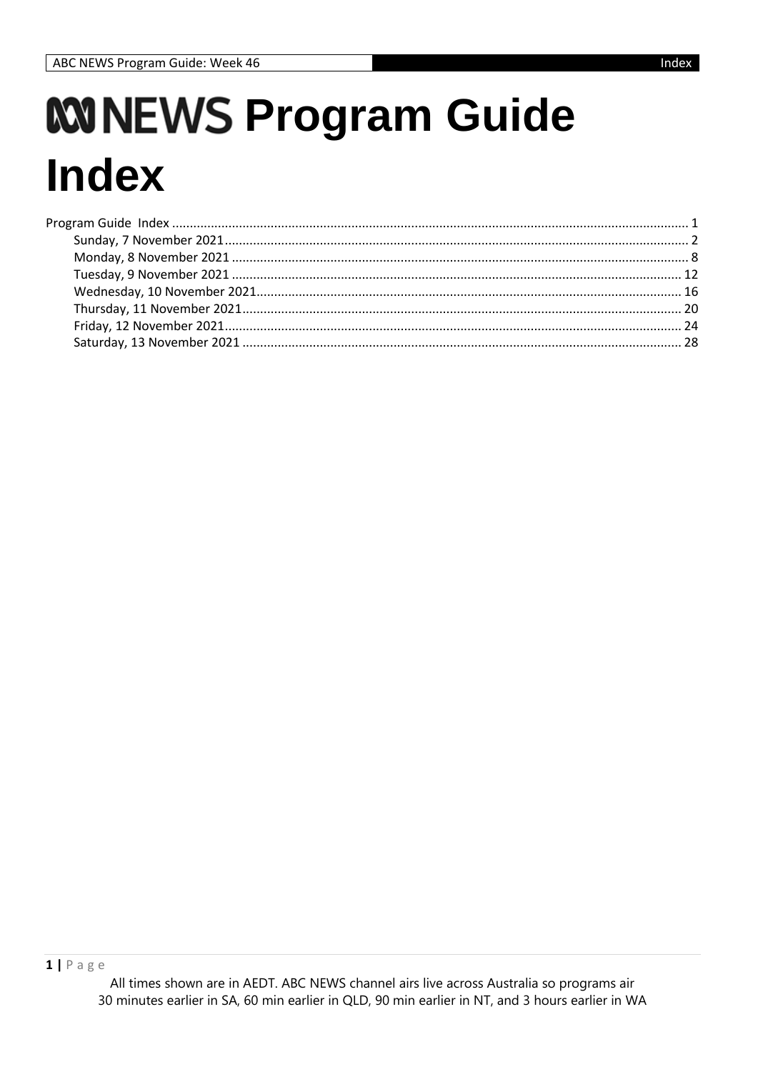# *KNNEWS Program Guide* **Index**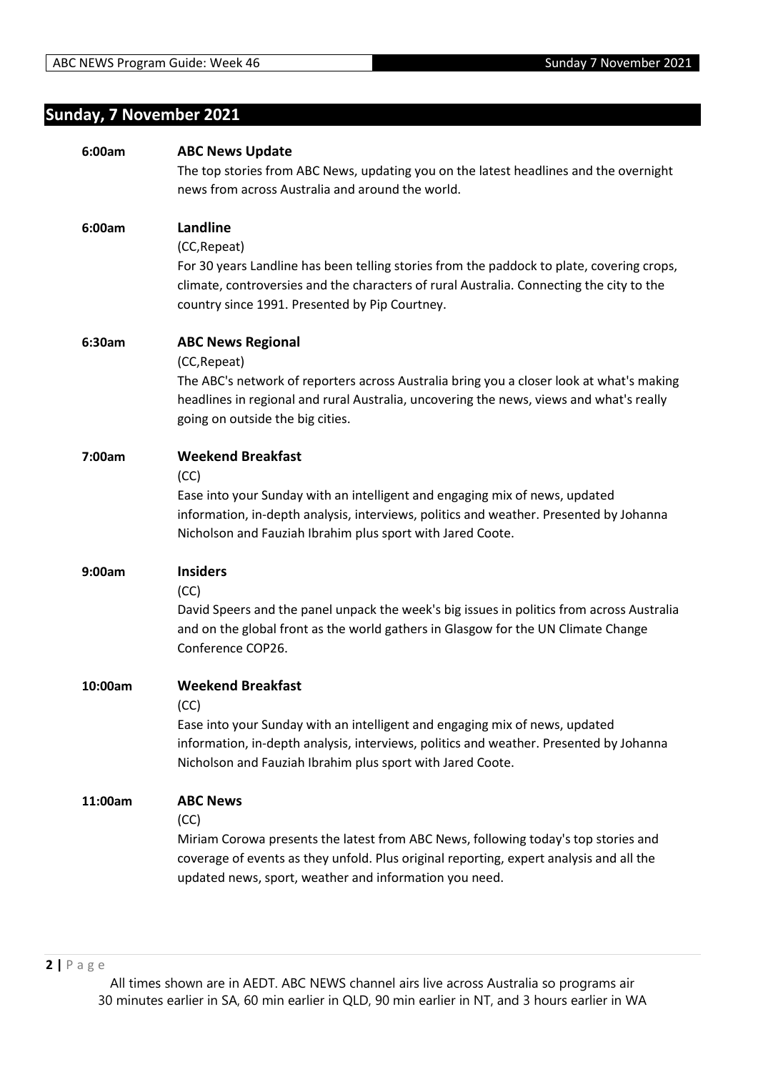# **Sunday, 7 November 2021**

| 6:00am  | <b>ABC News Update</b>                                                                    |
|---------|-------------------------------------------------------------------------------------------|
|         | The top stories from ABC News, updating you on the latest headlines and the overnight     |
|         | news from across Australia and around the world.                                          |
|         |                                                                                           |
| 6:00am  | Landline                                                                                  |
|         | (CC, Repeat)                                                                              |
|         | For 30 years Landline has been telling stories from the paddock to plate, covering crops, |
|         | climate, controversies and the characters of rural Australia. Connecting the city to the  |
|         | country since 1991. Presented by Pip Courtney.                                            |
|         |                                                                                           |
| 6:30am  | <b>ABC News Regional</b>                                                                  |
|         | (CC, Repeat)                                                                              |
|         | The ABC's network of reporters across Australia bring you a closer look at what's making  |
|         | headlines in regional and rural Australia, uncovering the news, views and what's really   |
|         | going on outside the big cities.                                                          |
|         |                                                                                           |
| 7:00am  | <b>Weekend Breakfast</b>                                                                  |
|         | (CC)                                                                                      |
|         | Ease into your Sunday with an intelligent and engaging mix of news, updated               |
|         | information, in-depth analysis, interviews, politics and weather. Presented by Johanna    |
|         | Nicholson and Fauziah Ibrahim plus sport with Jared Coote.                                |
|         |                                                                                           |
| 9:00am  | <b>Insiders</b>                                                                           |
|         | (CC)                                                                                      |
|         | David Speers and the panel unpack the week's big issues in politics from across Australia |
|         | and on the global front as the world gathers in Glasgow for the UN Climate Change         |
|         | Conference COP26.                                                                         |
|         |                                                                                           |
| 10:00am | <b>Weekend Breakfast</b>                                                                  |
|         | (CC)                                                                                      |
|         | Ease into your Sunday with an intelligent and engaging mix of news, updated               |
|         | information, in-depth analysis, interviews, politics and weather. Presented by Johanna    |
|         | Nicholson and Fauziah Ibrahim plus sport with Jared Coote.                                |
|         |                                                                                           |
| 11:00am | <b>ABC News</b>                                                                           |
|         | (CC)                                                                                      |
|         | Miriam Corowa presents the latest from ABC News, following today's top stories and        |
|         | coverage of events as they unfold. Plus original reporting, expert analysis and all the   |
|         | updated news, sport, weather and information you need.                                    |
|         |                                                                                           |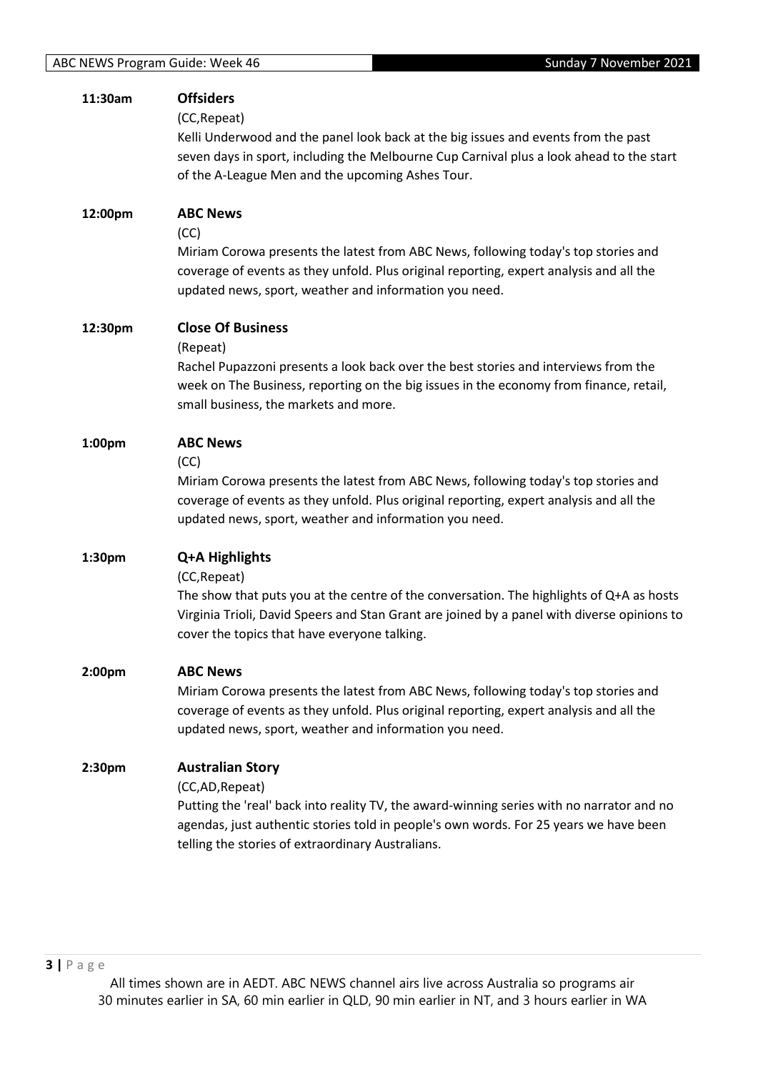| 11:30am | <b>Offsiders</b><br>(CC, Repeat)<br>Kelli Underwood and the panel look back at the big issues and events from the past<br>seven days in sport, including the Melbourne Cup Carnival plus a look ahead to the start<br>of the A-League Men and the upcoming Ashes Tour.               |
|---------|--------------------------------------------------------------------------------------------------------------------------------------------------------------------------------------------------------------------------------------------------------------------------------------|
| 12:00pm | <b>ABC News</b><br>(CC)<br>Miriam Corowa presents the latest from ABC News, following today's top stories and<br>coverage of events as they unfold. Plus original reporting, expert analysis and all the<br>updated news, sport, weather and information you need.                   |
| 12:30pm | <b>Close Of Business</b><br>(Repeat)<br>Rachel Pupazzoni presents a look back over the best stories and interviews from the<br>week on The Business, reporting on the big issues in the economy from finance, retail,<br>small business, the markets and more.                       |
| 1:00pm  | <b>ABC News</b><br>(CC)<br>Miriam Corowa presents the latest from ABC News, following today's top stories and<br>coverage of events as they unfold. Plus original reporting, expert analysis and all the<br>updated news, sport, weather and information you need.                   |
| 1:30pm  | Q+A Highlights<br>(CC, Repeat)<br>The show that puts you at the centre of the conversation. The highlights of Q+A as hosts<br>Virginia Trioli, David Speers and Stan Grant are joined by a panel with diverse opinions to<br>cover the topics that have everyone talking.            |
| 2:00pm  | <b>ABC News</b><br>Miriam Corowa presents the latest from ABC News, following today's top stories and<br>coverage of events as they unfold. Plus original reporting, expert analysis and all the<br>updated news, sport, weather and information you need.                           |
| 2:30pm  | <b>Australian Story</b><br>(CC,AD,Repeat)<br>Putting the 'real' back into reality TV, the award-winning series with no narrator and no<br>agendas, just authentic stories told in people's own words. For 25 years we have been<br>telling the stories of extraordinary Australians. |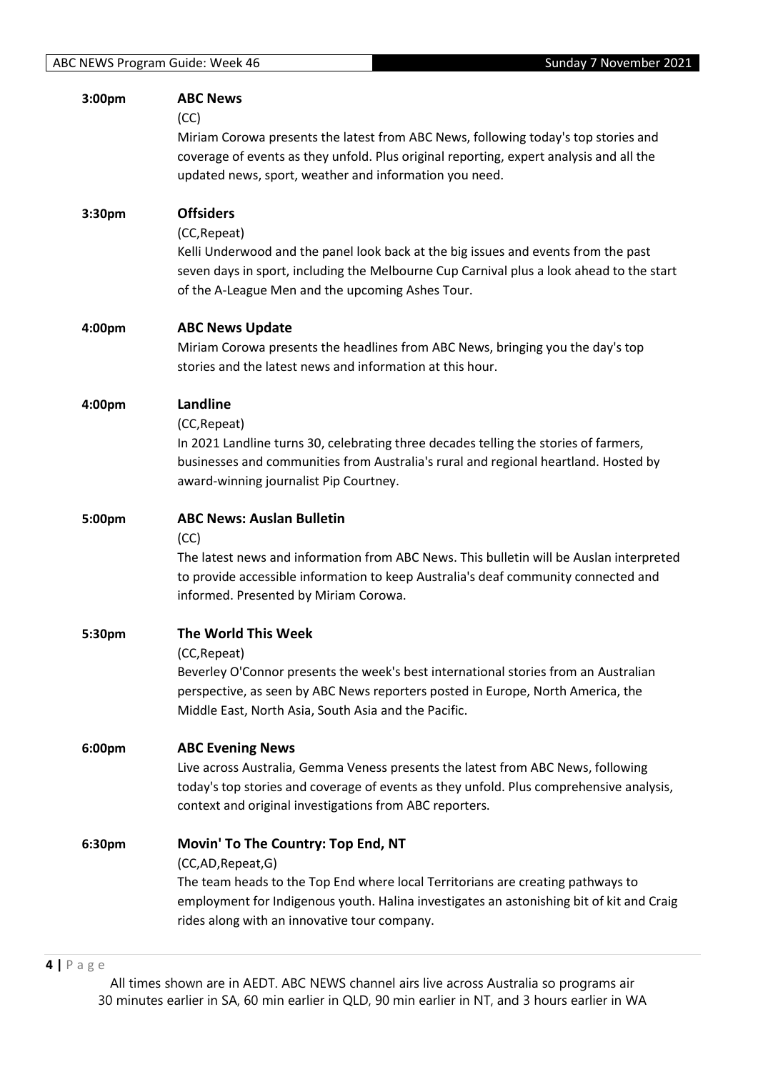| 3:00pm | <b>ABC News</b>                                                                                                                                                               |
|--------|-------------------------------------------------------------------------------------------------------------------------------------------------------------------------------|
|        | (CC)<br>Miriam Corowa presents the latest from ABC News, following today's top stories and                                                                                    |
|        | coverage of events as they unfold. Plus original reporting, expert analysis and all the                                                                                       |
|        | updated news, sport, weather and information you need.                                                                                                                        |
|        | <b>Offsiders</b>                                                                                                                                                              |
| 3:30pm | (CC, Repeat)                                                                                                                                                                  |
|        | Kelli Underwood and the panel look back at the big issues and events from the past                                                                                            |
|        | seven days in sport, including the Melbourne Cup Carnival plus a look ahead to the start                                                                                      |
|        | of the A-League Men and the upcoming Ashes Tour.                                                                                                                              |
| 4:00pm | <b>ABC News Update</b>                                                                                                                                                        |
|        | Miriam Corowa presents the headlines from ABC News, bringing you the day's top                                                                                                |
|        | stories and the latest news and information at this hour.                                                                                                                     |
| 4:00pm | Landline                                                                                                                                                                      |
|        | (CC, Repeat)                                                                                                                                                                  |
|        | In 2021 Landline turns 30, celebrating three decades telling the stories of farmers,                                                                                          |
|        | businesses and communities from Australia's rural and regional heartland. Hosted by<br>award-winning journalist Pip Courtney.                                                 |
|        |                                                                                                                                                                               |
| 5:00pm | <b>ABC News: Auslan Bulletin</b>                                                                                                                                              |
|        | (CC)                                                                                                                                                                          |
|        | The latest news and information from ABC News. This bulletin will be Auslan interpreted<br>to provide accessible information to keep Australia's deaf community connected and |
|        | informed. Presented by Miriam Corowa.                                                                                                                                         |
|        | The World This Week                                                                                                                                                           |
| 5:30pm | (CC, Repeat)                                                                                                                                                                  |
|        | Beverley O'Connor presents the week's best international stories from an Australian                                                                                           |
|        | perspective, as seen by ABC News reporters posted in Europe, North America, the                                                                                               |
|        | Middle East, North Asia, South Asia and the Pacific.                                                                                                                          |
| 6:00pm | <b>ABC Evening News</b>                                                                                                                                                       |
|        | Live across Australia, Gemma Veness presents the latest from ABC News, following                                                                                              |
|        | today's top stories and coverage of events as they unfold. Plus comprehensive analysis,                                                                                       |
|        | context and original investigations from ABC reporters.                                                                                                                       |
| 6:30pm | Movin' To The Country: Top End, NT                                                                                                                                            |
|        | (CC,AD,Repeat,G)                                                                                                                                                              |
|        | The team heads to the Top End where local Territorians are creating pathways to<br>employment for Indigenous youth. Halina investigates an astonishing bit of kit and Craig   |
|        | rides along with an innovative tour company.                                                                                                                                  |
|        |                                                                                                                                                                               |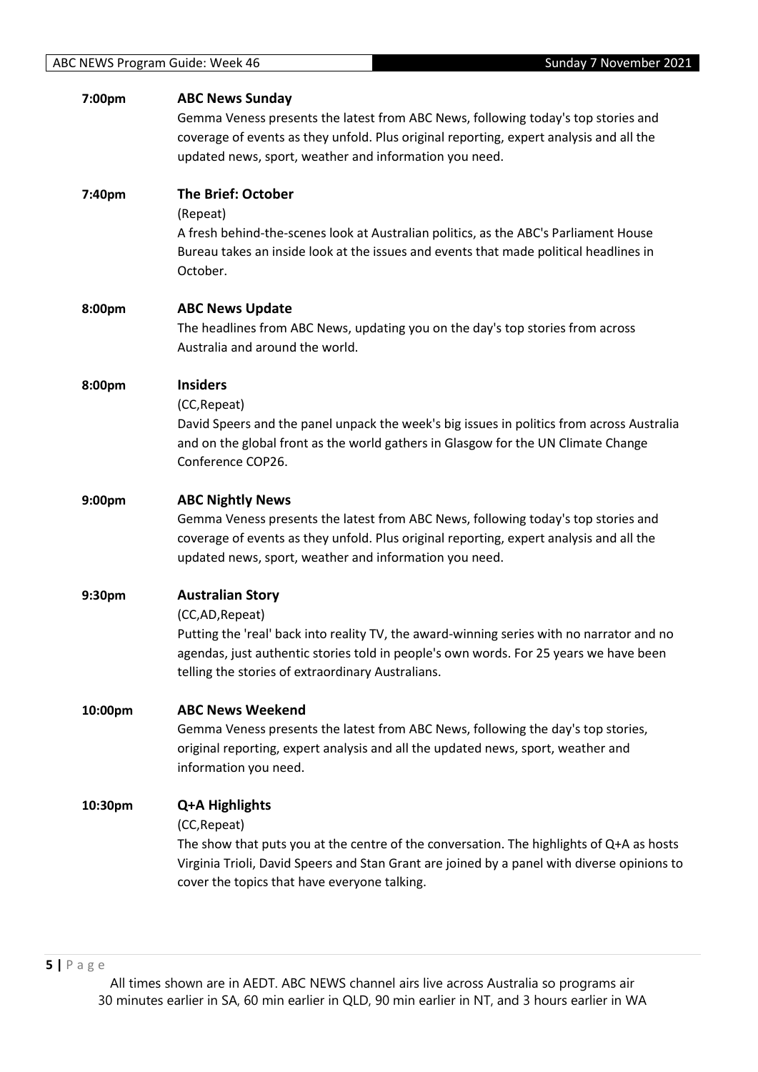| 7:00pm  | <b>ABC News Sunday</b><br>Gemma Veness presents the latest from ABC News, following today's top stories and<br>coverage of events as they unfold. Plus original reporting, expert analysis and all the<br>updated news, sport, weather and information you need.                      |
|---------|---------------------------------------------------------------------------------------------------------------------------------------------------------------------------------------------------------------------------------------------------------------------------------------|
| 7:40pm  | <b>The Brief: October</b><br>(Repeat)<br>A fresh behind-the-scenes look at Australian politics, as the ABC's Parliament House<br>Bureau takes an inside look at the issues and events that made political headlines in<br>October.                                                    |
| 8:00pm  | <b>ABC News Update</b><br>The headlines from ABC News, updating you on the day's top stories from across<br>Australia and around the world.                                                                                                                                           |
| 8:00pm  | <b>Insiders</b><br>(CC, Repeat)<br>David Speers and the panel unpack the week's big issues in politics from across Australia<br>and on the global front as the world gathers in Glasgow for the UN Climate Change<br>Conference COP26.                                                |
| 9:00pm  | <b>ABC Nightly News</b><br>Gemma Veness presents the latest from ABC News, following today's top stories and<br>coverage of events as they unfold. Plus original reporting, expert analysis and all the<br>updated news, sport, weather and information you need.                     |
| 9:30pm  | <b>Australian Story</b><br>(CC,AD, Repeat)<br>Putting the 'real' back into reality TV, the award-winning series with no narrator and no<br>agendas, just authentic stories told in people's own words. For 25 years we have been<br>telling the stories of extraordinary Australians. |
| 10:00pm | <b>ABC News Weekend</b><br>Gemma Veness presents the latest from ABC News, following the day's top stories,<br>original reporting, expert analysis and all the updated news, sport, weather and<br>information you need.                                                              |
| 10:30pm | Q+A Highlights<br>(CC, Repeat)<br>The show that puts you at the centre of the conversation. The highlights of Q+A as hosts<br>Virginia Trioli, David Speers and Stan Grant are joined by a panel with diverse opinions to<br>cover the topics that have everyone talking.             |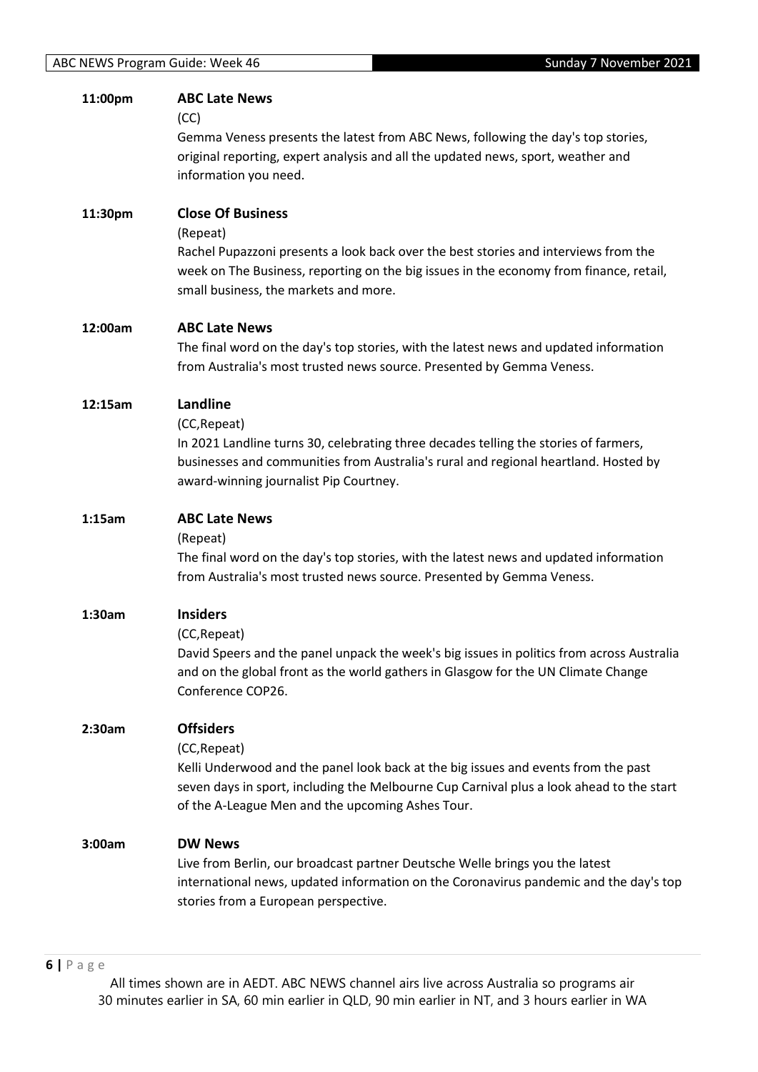| 11:00pm | <b>ABC Late News</b><br>(CC)<br>Gemma Veness presents the latest from ABC News, following the day's top stories,<br>original reporting, expert analysis and all the updated news, sport, weather and<br>information you need.                                          |
|---------|------------------------------------------------------------------------------------------------------------------------------------------------------------------------------------------------------------------------------------------------------------------------|
| 11:30pm | <b>Close Of Business</b><br>(Repeat)<br>Rachel Pupazzoni presents a look back over the best stories and interviews from the<br>week on The Business, reporting on the big issues in the economy from finance, retail,<br>small business, the markets and more.         |
| 12:00am | <b>ABC Late News</b><br>The final word on the day's top stories, with the latest news and updated information<br>from Australia's most trusted news source. Presented by Gemma Veness.                                                                                 |
| 12:15am | Landline<br>(CC, Repeat)<br>In 2021 Landline turns 30, celebrating three decades telling the stories of farmers,<br>businesses and communities from Australia's rural and regional heartland. Hosted by<br>award-winning journalist Pip Courtney.                      |
| 1:15am  | <b>ABC Late News</b><br>(Repeat)<br>The final word on the day's top stories, with the latest news and updated information<br>from Australia's most trusted news source. Presented by Gemma Veness.                                                                     |
| 1:30am  | <b>Insiders</b><br>(CC, Repeat)<br>David Speers and the panel unpack the week's big issues in politics from across Australia<br>and on the global front as the world gathers in Glasgow for the UN Climate Change<br>Conference COP26.                                 |
| 2:30am  | <b>Offsiders</b><br>(CC, Repeat)<br>Kelli Underwood and the panel look back at the big issues and events from the past<br>seven days in sport, including the Melbourne Cup Carnival plus a look ahead to the start<br>of the A-League Men and the upcoming Ashes Tour. |
| 3:00am  | <b>DW News</b><br>Live from Berlin, our broadcast partner Deutsche Welle brings you the latest<br>international news, updated information on the Coronavirus pandemic and the day's top<br>stories from a European perspective.                                        |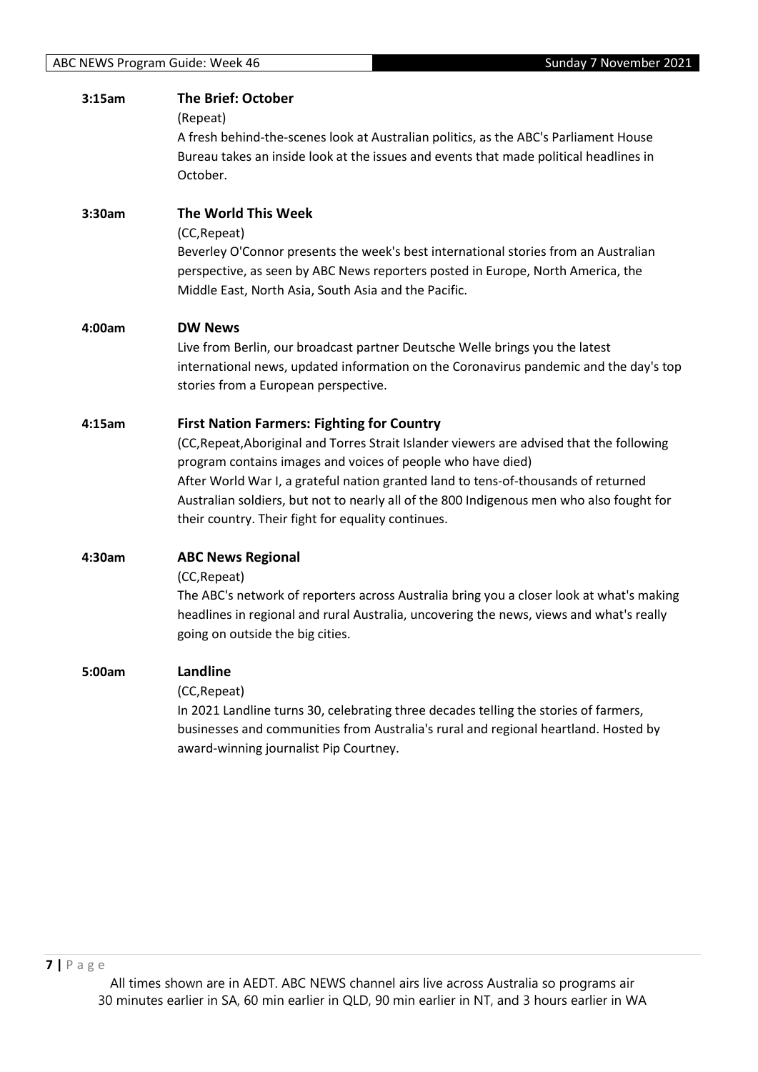| 3:15am | <b>The Brief: October</b><br>(Repeat)<br>A fresh behind-the-scenes look at Australian politics, as the ABC's Parliament House<br>Bureau takes an inside look at the issues and events that made political headlines in<br>October.                                                                                                                                                                                                                    |
|--------|-------------------------------------------------------------------------------------------------------------------------------------------------------------------------------------------------------------------------------------------------------------------------------------------------------------------------------------------------------------------------------------------------------------------------------------------------------|
| 3:30am | The World This Week<br>(CC, Repeat)<br>Beverley O'Connor presents the week's best international stories from an Australian<br>perspective, as seen by ABC News reporters posted in Europe, North America, the<br>Middle East, North Asia, South Asia and the Pacific.                                                                                                                                                                                 |
| 4:00am | <b>DW News</b><br>Live from Berlin, our broadcast partner Deutsche Welle brings you the latest<br>international news, updated information on the Coronavirus pandemic and the day's top<br>stories from a European perspective.                                                                                                                                                                                                                       |
| 4:15am | <b>First Nation Farmers: Fighting for Country</b><br>(CC, Repeat, Aboriginal and Torres Strait Islander viewers are advised that the following<br>program contains images and voices of people who have died)<br>After World War I, a grateful nation granted land to tens-of-thousands of returned<br>Australian soldiers, but not to nearly all of the 800 Indigenous men who also fought for<br>their country. Their fight for equality continues. |
| 4:30am | <b>ABC News Regional</b><br>(CC, Repeat)<br>The ABC's network of reporters across Australia bring you a closer look at what's making<br>headlines in regional and rural Australia, uncovering the news, views and what's really<br>going on outside the big cities.                                                                                                                                                                                   |
| 5:00am | <b>Landline</b><br>(CC, Repeat)<br>In 2021 Landline turns 30, celebrating three decades telling the stories of farmers,<br>businesses and communities from Australia's rural and regional heartland. Hosted by<br>award-winning journalist Pip Courtney.                                                                                                                                                                                              |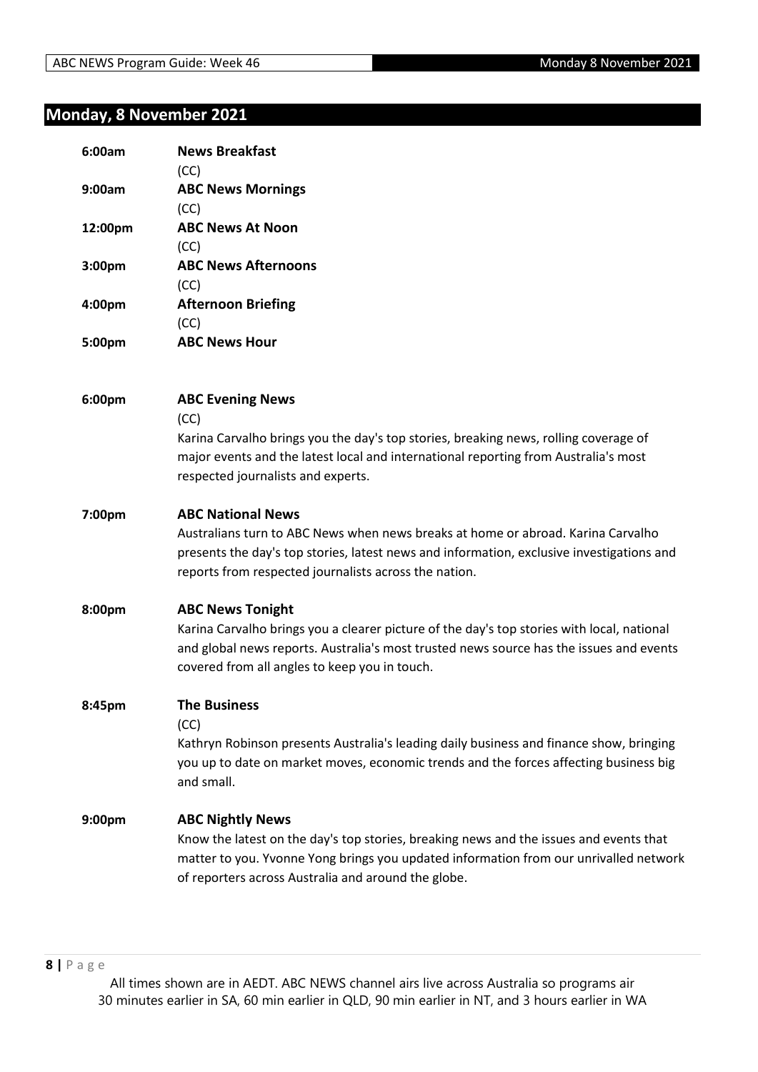# **Monday, 8 November 2021**

| 6:00am  | <b>News Breakfast</b><br>(CC)                                                                                                                                                                                                                                      |
|---------|--------------------------------------------------------------------------------------------------------------------------------------------------------------------------------------------------------------------------------------------------------------------|
| 9:00am  | <b>ABC News Mornings</b><br>(CC)                                                                                                                                                                                                                                   |
| 12:00pm | <b>ABC News At Noon</b><br>(CC)                                                                                                                                                                                                                                    |
| 3:00pm  | <b>ABC News Afternoons</b><br>(CC)                                                                                                                                                                                                                                 |
| 4:00pm  | <b>Afternoon Briefing</b><br>(CC)                                                                                                                                                                                                                                  |
| 5:00pm  | <b>ABC News Hour</b>                                                                                                                                                                                                                                               |
| 6:00pm  | <b>ABC Evening News</b><br>(CC)<br>Karina Carvalho brings you the day's top stories, breaking news, rolling coverage of<br>major events and the latest local and international reporting from Australia's most                                                     |
|         | respected journalists and experts.                                                                                                                                                                                                                                 |
| 7:00pm  | <b>ABC National News</b><br>Australians turn to ABC News when news breaks at home or abroad. Karina Carvalho<br>presents the day's top stories, latest news and information, exclusive investigations and<br>reports from respected journalists across the nation. |
| 8:00pm  | <b>ABC News Tonight</b><br>Karina Carvalho brings you a clearer picture of the day's top stories with local, national<br>and global news reports. Australia's most trusted news source has the issues and events<br>covered from all angles to keep you in touch.  |
| 8:45pm  | <b>The Business</b><br>(CC)<br>Kathryn Robinson presents Australia's leading daily business and finance show, bringing<br>you up to date on market moves, economic trends and the forces affecting business big<br>and small.                                      |
| 9:00pm  | <b>ABC Nightly News</b><br>Know the latest on the day's top stories, breaking news and the issues and events that<br>matter to you. Yvonne Yong brings you updated information from our unrivalled network<br>of reporters across Australia and around the globe.  |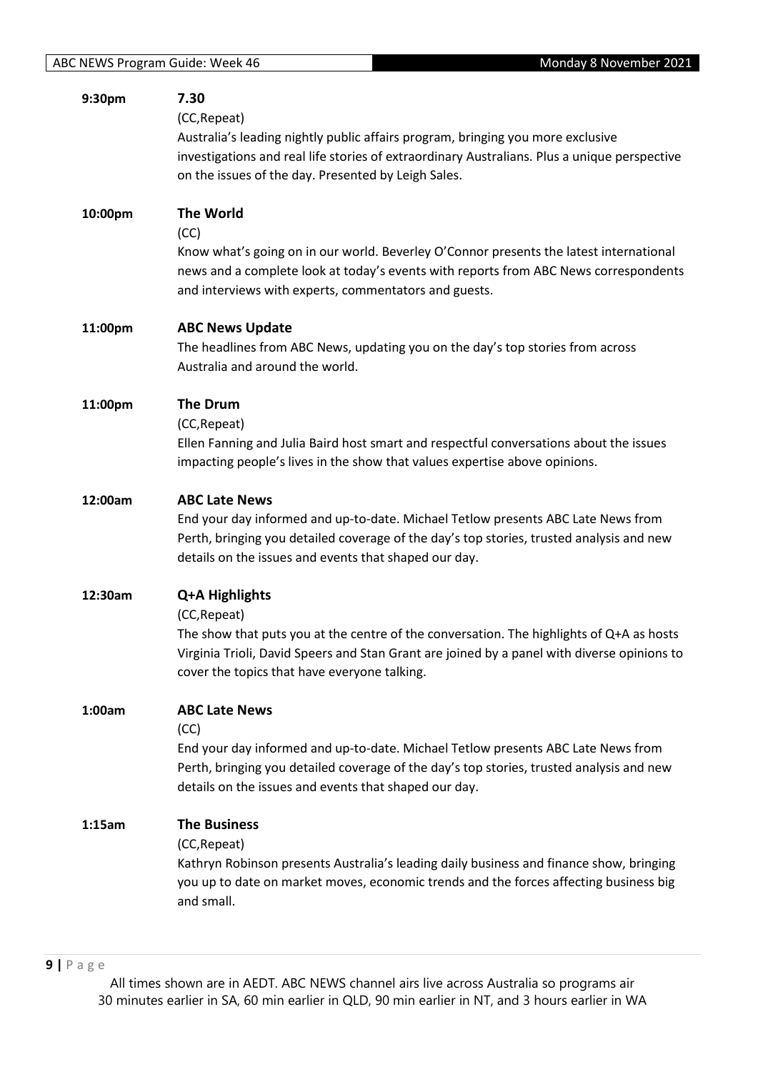| 9:30pm  | 7.30<br>(CC, Repeat)<br>Australia's leading nightly public affairs program, bringing you more exclusive<br>investigations and real life stories of extraordinary Australians. Plus a unique perspective<br>on the issues of the day. Presented by Leigh Sales.            |
|---------|---------------------------------------------------------------------------------------------------------------------------------------------------------------------------------------------------------------------------------------------------------------------------|
| 10:00pm | <b>The World</b><br>(CC)<br>Know what's going on in our world. Beverley O'Connor presents the latest international<br>news and a complete look at today's events with reports from ABC News correspondents<br>and interviews with experts, commentators and guests.       |
| 11:00pm | <b>ABC News Update</b><br>The headlines from ABC News, updating you on the day's top stories from across<br>Australia and around the world.                                                                                                                               |
| 11:00pm | <b>The Drum</b><br>(CC, Repeat)<br>Ellen Fanning and Julia Baird host smart and respectful conversations about the issues<br>impacting people's lives in the show that values expertise above opinions.                                                                   |
| 12:00am | <b>ABC Late News</b><br>End your day informed and up-to-date. Michael Tetlow presents ABC Late News from<br>Perth, bringing you detailed coverage of the day's top stories, trusted analysis and new<br>details on the issues and events that shaped our day.             |
| 12:30am | Q+A Highlights<br>(CC, Repeat)<br>The show that puts you at the centre of the conversation. The highlights of Q+A as hosts<br>Virginia Trioli, David Speers and Stan Grant are joined by a panel with diverse opinions to<br>cover the topics that have everyone talking. |
| 1:00am  | <b>ABC Late News</b><br>(CC)<br>End your day informed and up-to-date. Michael Tetlow presents ABC Late News from<br>Perth, bringing you detailed coverage of the day's top stories, trusted analysis and new<br>details on the issues and events that shaped our day.     |
| 1:15am  | <b>The Business</b><br>(CC, Repeat)<br>Kathryn Robinson presents Australia's leading daily business and finance show, bringing<br>you up to date on market moves, economic trends and the forces affecting business big<br>and small.                                     |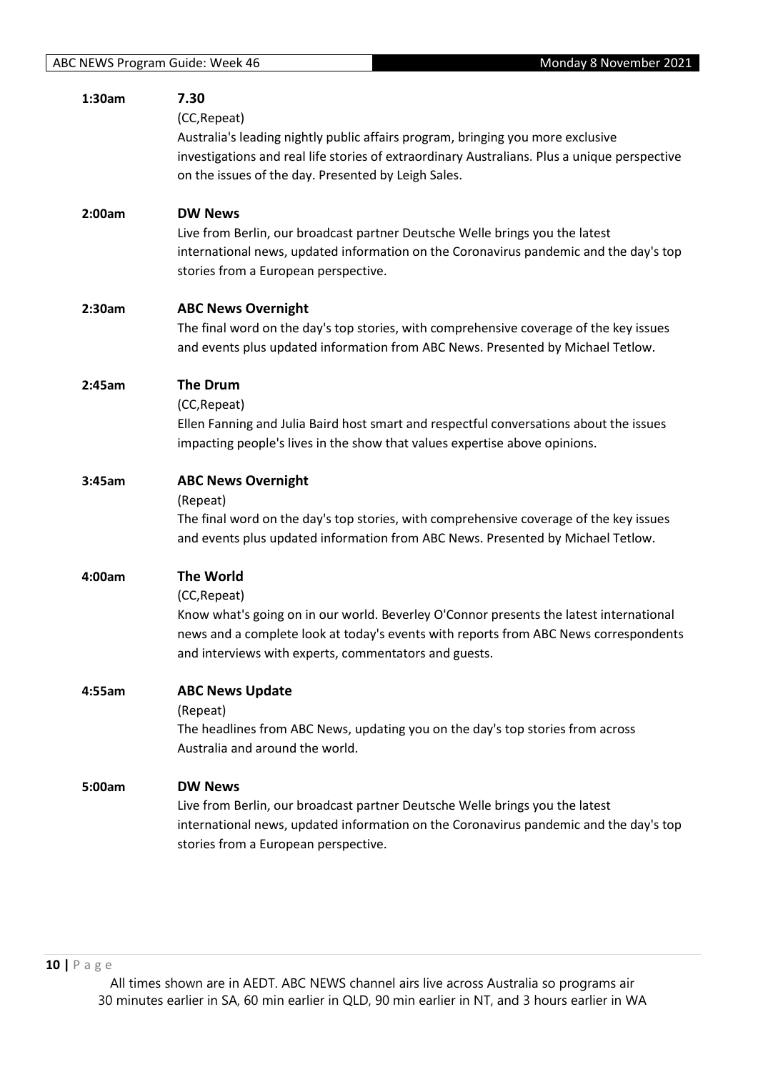| 1:30am | 7.30<br>(CC, Repeat)<br>Australia's leading nightly public affairs program, bringing you more exclusive<br>investigations and real life stories of extraordinary Australians. Plus a unique perspective<br>on the issues of the day. Presented by Leigh Sales.              |
|--------|-----------------------------------------------------------------------------------------------------------------------------------------------------------------------------------------------------------------------------------------------------------------------------|
| 2:00am | <b>DW News</b><br>Live from Berlin, our broadcast partner Deutsche Welle brings you the latest<br>international news, updated information on the Coronavirus pandemic and the day's top<br>stories from a European perspective.                                             |
| 2:30am | <b>ABC News Overnight</b><br>The final word on the day's top stories, with comprehensive coverage of the key issues<br>and events plus updated information from ABC News. Presented by Michael Tetlow.                                                                      |
| 2:45am | <b>The Drum</b><br>(CC, Repeat)<br>Ellen Fanning and Julia Baird host smart and respectful conversations about the issues<br>impacting people's lives in the show that values expertise above opinions.                                                                     |
| 3:45am | <b>ABC News Overnight</b><br>(Repeat)<br>The final word on the day's top stories, with comprehensive coverage of the key issues<br>and events plus updated information from ABC News. Presented by Michael Tetlow.                                                          |
| 4:00am | <b>The World</b><br>(CC, Repeat)<br>Know what's going on in our world. Beverley O'Connor presents the latest international<br>news and a complete look at today's events with reports from ABC News correspondents<br>and interviews with experts, commentators and guests. |
| 4:55am | <b>ABC News Update</b><br>(Repeat)<br>The headlines from ABC News, updating you on the day's top stories from across<br>Australia and around the world.                                                                                                                     |
| 5:00am | <b>DW News</b><br>Live from Berlin, our broadcast partner Deutsche Welle brings you the latest<br>international news, updated information on the Coronavirus pandemic and the day's top<br>stories from a European perspective.                                             |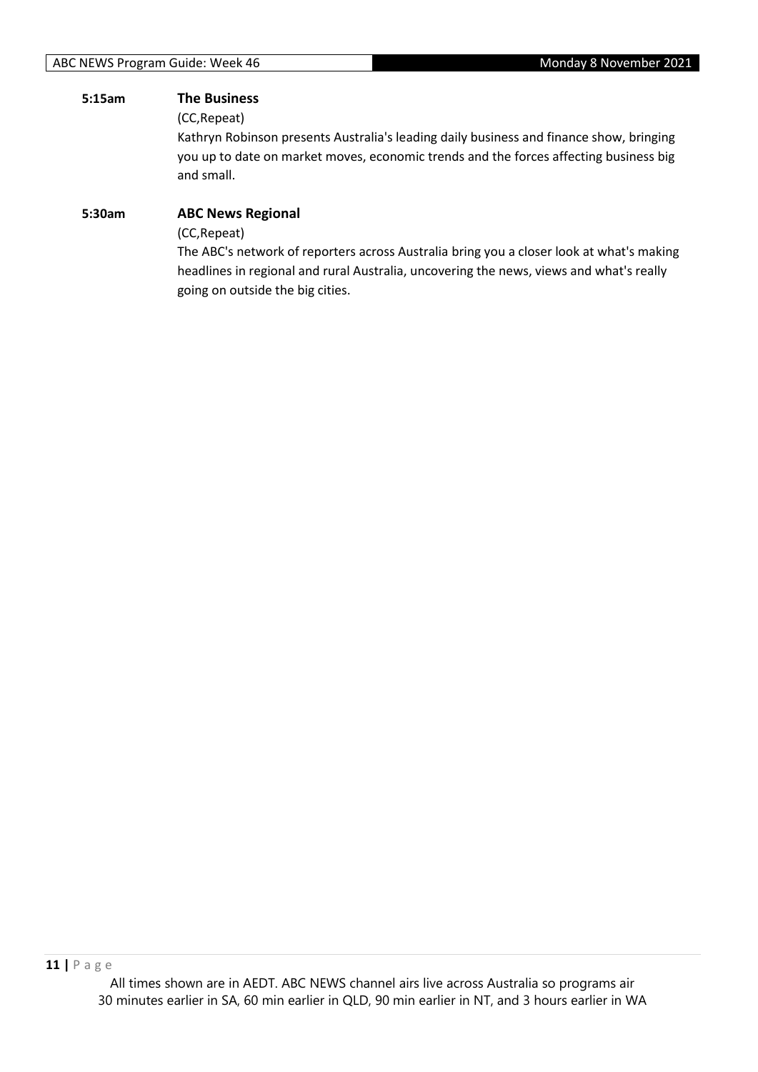#### **5:15am The Business**

(CC,Repeat)

Kathryn Robinson presents Australia's leading daily business and finance show, bringing you up to date on market moves, economic trends and the forces affecting business big and small.

# **5:30am ABC News Regional** (CC,Repeat)

The ABC's network of reporters across Australia bring you a closer look at what's making headlines in regional and rural Australia, uncovering the news, views and what's really going on outside the big cities.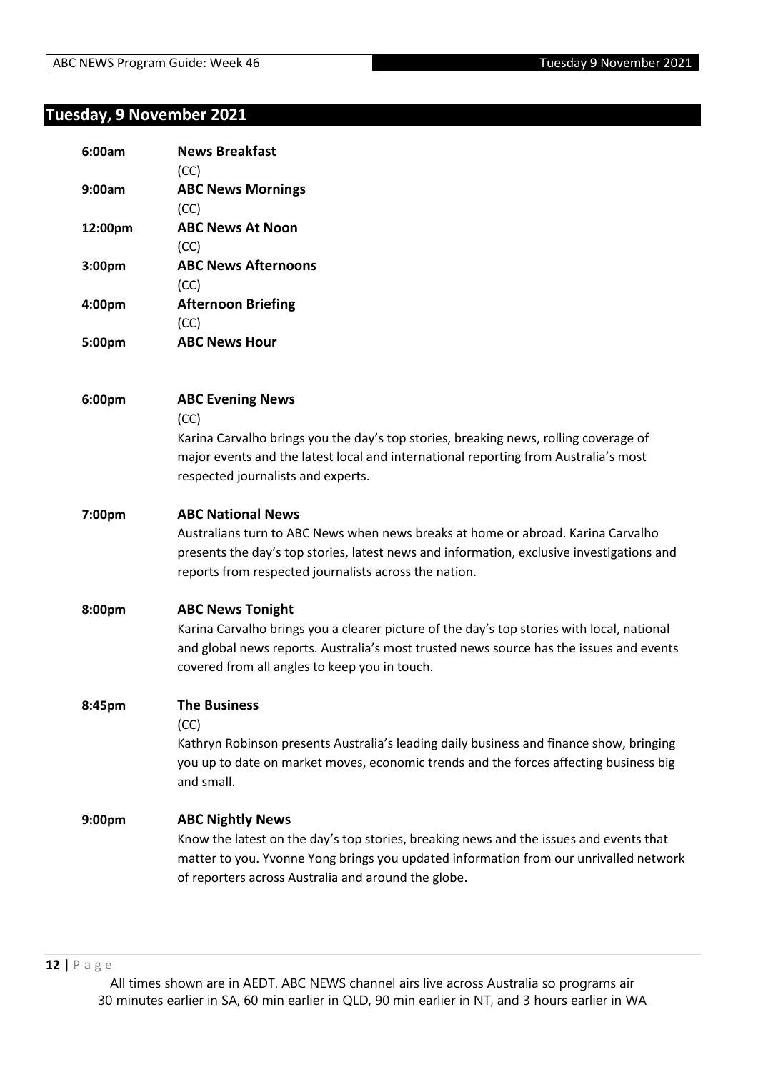# **Tuesday, 9 November 2021**

| 6:00am  | <b>News Breakfast</b><br>(CC)                                                                                                                                                                                                                                      |
|---------|--------------------------------------------------------------------------------------------------------------------------------------------------------------------------------------------------------------------------------------------------------------------|
| 9:00am  | <b>ABC News Mornings</b><br>(CC)                                                                                                                                                                                                                                   |
| 12:00pm | <b>ABC News At Noon</b><br>(CC)                                                                                                                                                                                                                                    |
| 3:00pm  | <b>ABC News Afternoons</b><br>(CC)                                                                                                                                                                                                                                 |
| 4:00pm  | <b>Afternoon Briefing</b><br>(CC)                                                                                                                                                                                                                                  |
| 5:00pm  | <b>ABC News Hour</b>                                                                                                                                                                                                                                               |
| 6:00pm  | <b>ABC Evening News</b><br>(CC)<br>Karina Carvalho brings you the day's top stories, breaking news, rolling coverage of<br>major events and the latest local and international reporting from Australia's most                                                     |
|         | respected journalists and experts.                                                                                                                                                                                                                                 |
| 7:00pm  | <b>ABC National News</b><br>Australians turn to ABC News when news breaks at home or abroad. Karina Carvalho<br>presents the day's top stories, latest news and information, exclusive investigations and<br>reports from respected journalists across the nation. |
| 8:00pm  | <b>ABC News Tonight</b><br>Karina Carvalho brings you a clearer picture of the day's top stories with local, national<br>and global news reports. Australia's most trusted news source has the issues and events<br>covered from all angles to keep you in touch.  |
| 8:45pm  | <b>The Business</b><br>(CC)<br>Kathryn Robinson presents Australia's leading daily business and finance show, bringing<br>you up to date on market moves, economic trends and the forces affecting business big<br>and small.                                      |
| 9:00pm  | <b>ABC Nightly News</b><br>Know the latest on the day's top stories, breaking news and the issues and events that<br>matter to you. Yvonne Yong brings you updated information from our unrivalled network<br>of reporters across Australia and around the globe.  |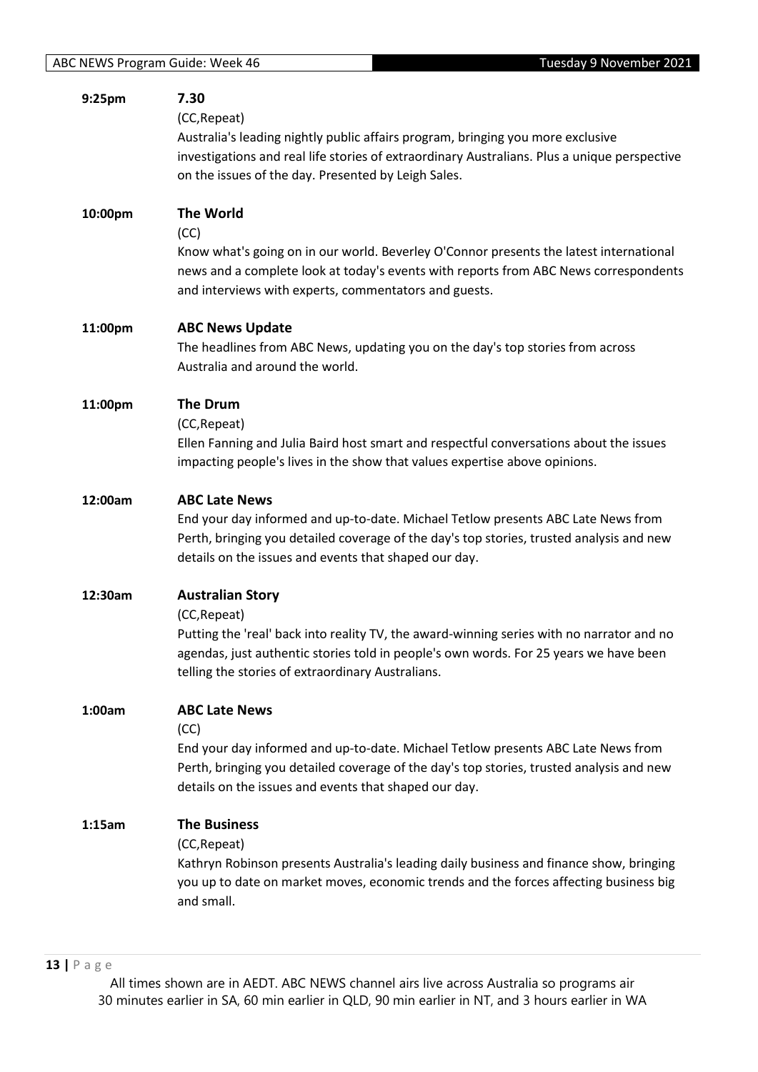| 9:25pm  | 7.30<br>(CC, Repeat)<br>Australia's leading nightly public affairs program, bringing you more exclusive<br>investigations and real life stories of extraordinary Australians. Plus a unique perspective<br>on the issues of the day. Presented by Leigh Sales.                     |
|---------|------------------------------------------------------------------------------------------------------------------------------------------------------------------------------------------------------------------------------------------------------------------------------------|
| 10:00pm | <b>The World</b><br>(CC)<br>Know what's going on in our world. Beverley O'Connor presents the latest international<br>news and a complete look at today's events with reports from ABC News correspondents<br>and interviews with experts, commentators and guests.                |
| 11:00pm | <b>ABC News Update</b><br>The headlines from ABC News, updating you on the day's top stories from across<br>Australia and around the world.                                                                                                                                        |
| 11:00pm | <b>The Drum</b><br>(CC, Repeat)<br>Ellen Fanning and Julia Baird host smart and respectful conversations about the issues<br>impacting people's lives in the show that values expertise above opinions.                                                                            |
| 12:00am | <b>ABC Late News</b><br>End your day informed and up-to-date. Michael Tetlow presents ABC Late News from<br>Perth, bringing you detailed coverage of the day's top stories, trusted analysis and new<br>details on the issues and events that shaped our day.                      |
| 12:30am | <b>Australian Story</b><br>(CC, Repeat)<br>Putting the 'real' back into reality TV, the award-winning series with no narrator and no<br>agendas, just authentic stories told in people's own words. For 25 years we have been<br>telling the stories of extraordinary Australians. |
| 1:00am  | <b>ABC Late News</b><br>(CC)<br>End your day informed and up-to-date. Michael Tetlow presents ABC Late News from<br>Perth, bringing you detailed coverage of the day's top stories, trusted analysis and new<br>details on the issues and events that shaped our day.              |
| 1:15am  | <b>The Business</b><br>(CC, Repeat)<br>Kathryn Robinson presents Australia's leading daily business and finance show, bringing<br>you up to date on market moves, economic trends and the forces affecting business big<br>and small.                                              |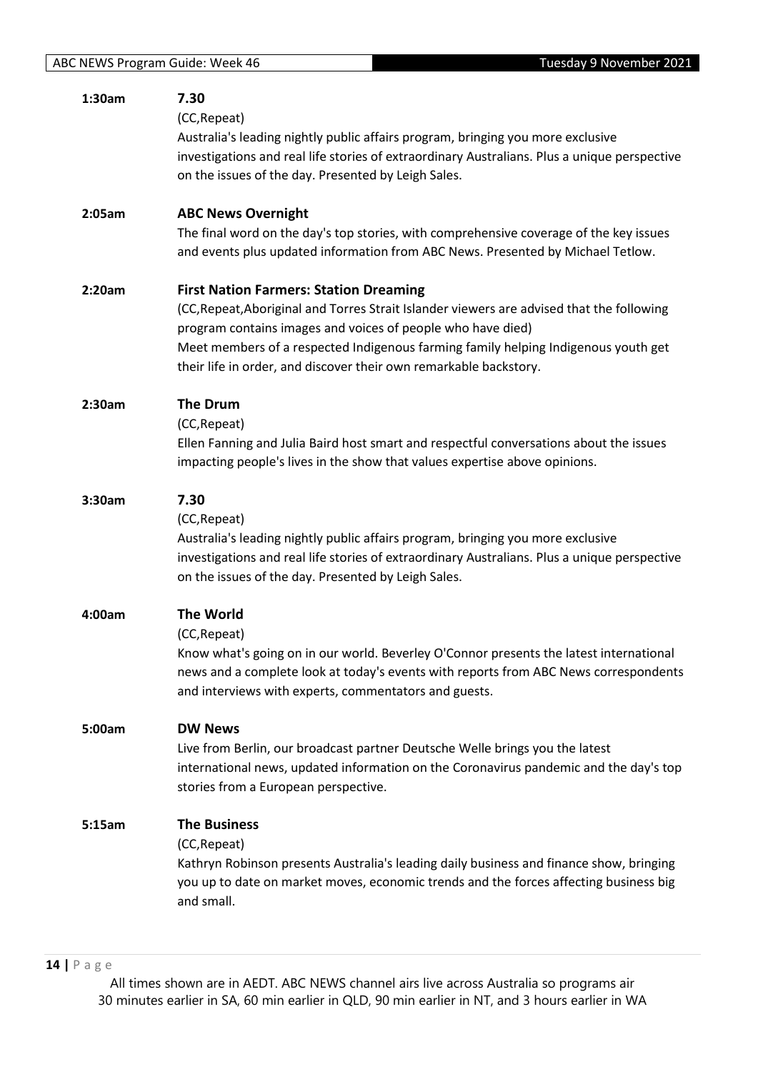| 1:30am | 7.30<br>(CC, Repeat)<br>Australia's leading nightly public affairs program, bringing you more exclusive<br>investigations and real life stories of extraordinary Australians. Plus a unique perspective<br>on the issues of the day. Presented by Leigh Sales.                                                                                                       |
|--------|----------------------------------------------------------------------------------------------------------------------------------------------------------------------------------------------------------------------------------------------------------------------------------------------------------------------------------------------------------------------|
| 2:05am | <b>ABC News Overnight</b><br>The final word on the day's top stories, with comprehensive coverage of the key issues<br>and events plus updated information from ABC News. Presented by Michael Tetlow.                                                                                                                                                               |
| 2:20am | <b>First Nation Farmers: Station Dreaming</b><br>(CC, Repeat, Aboriginal and Torres Strait Islander viewers are advised that the following<br>program contains images and voices of people who have died)<br>Meet members of a respected Indigenous farming family helping Indigenous youth get<br>their life in order, and discover their own remarkable backstory. |
| 2:30am | <b>The Drum</b><br>(CC, Repeat)<br>Ellen Fanning and Julia Baird host smart and respectful conversations about the issues<br>impacting people's lives in the show that values expertise above opinions.                                                                                                                                                              |
| 3:30am | 7.30<br>(CC, Repeat)<br>Australia's leading nightly public affairs program, bringing you more exclusive<br>investigations and real life stories of extraordinary Australians. Plus a unique perspective<br>on the issues of the day. Presented by Leigh Sales.                                                                                                       |
| 4:00am | <b>The World</b><br>(CC, Repeat)<br>Know what's going on in our world. Beverley O'Connor presents the latest international<br>news and a complete look at today's events with reports from ABC News correspondents<br>and interviews with experts, commentators and guests.                                                                                          |
| 5:00am | <b>DW News</b><br>Live from Berlin, our broadcast partner Deutsche Welle brings you the latest<br>international news, updated information on the Coronavirus pandemic and the day's top<br>stories from a European perspective.                                                                                                                                      |
| 5:15am | <b>The Business</b><br>(CC, Repeat)<br>Kathryn Robinson presents Australia's leading daily business and finance show, bringing<br>you up to date on market moves, economic trends and the forces affecting business big<br>and small.                                                                                                                                |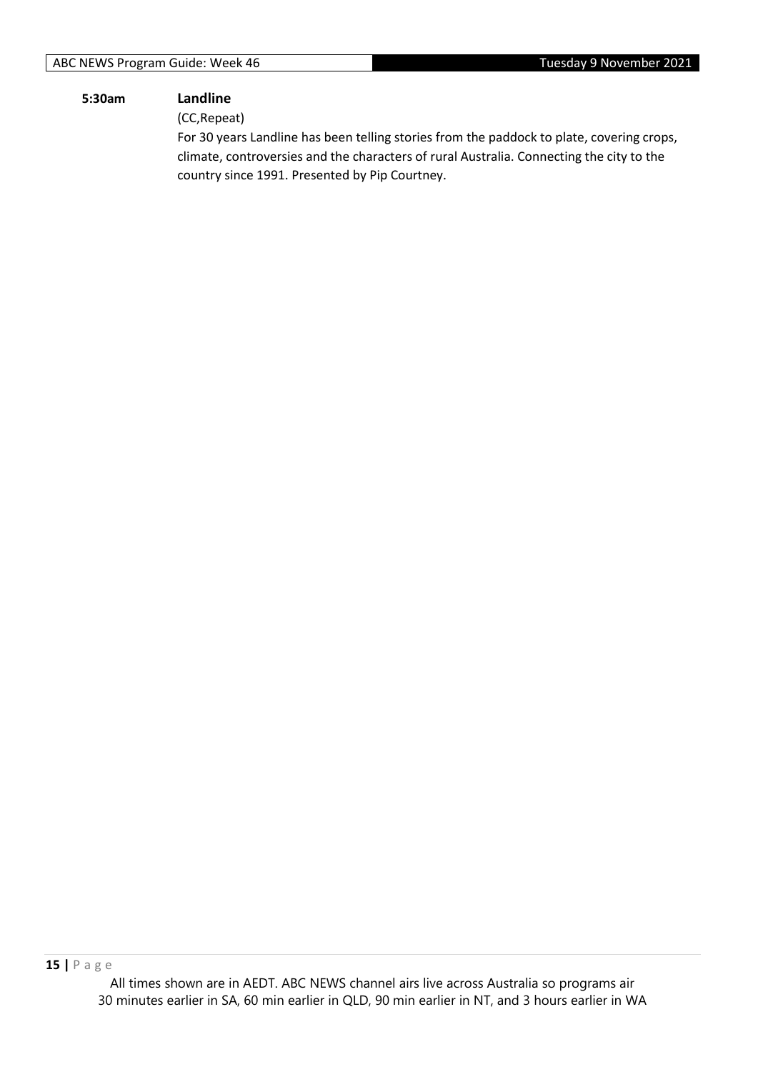#### **5:30am Landline**

(CC,Repeat)

For 30 years Landline has been telling stories from the paddock to plate, covering crops, climate, controversies and the characters of rural Australia. Connecting the city to the country since 1991. Presented by Pip Courtney.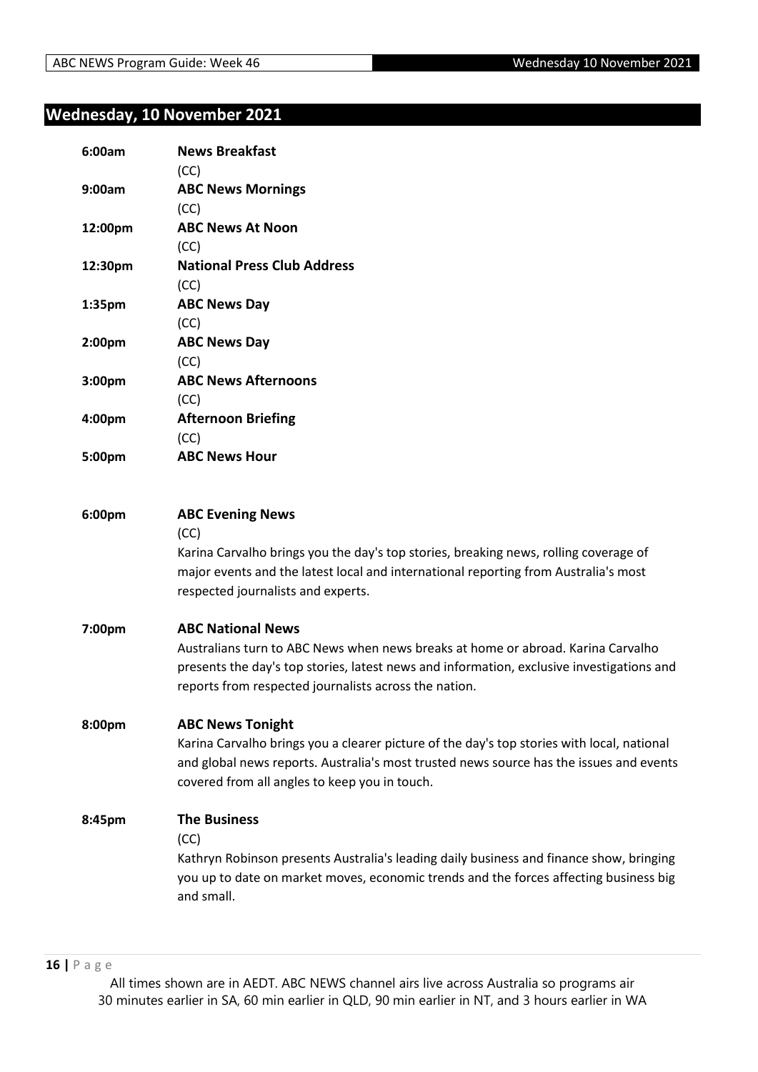# **Wednesday, 10 November 2021**

| 6:00am             | <b>News Breakfast</b><br>(CC)                                                                                                                                                                                                                                      |
|--------------------|--------------------------------------------------------------------------------------------------------------------------------------------------------------------------------------------------------------------------------------------------------------------|
| 9:00am             | <b>ABC News Mornings</b><br>(CC)                                                                                                                                                                                                                                   |
| 12:00pm            | <b>ABC News At Noon</b><br>(CC)                                                                                                                                                                                                                                    |
| 12:30pm            | <b>National Press Club Address</b><br>(CC)                                                                                                                                                                                                                         |
| 1:35pm             | <b>ABC News Day</b><br>(CC)                                                                                                                                                                                                                                        |
| 2:00 <sub>pm</sub> | <b>ABC News Day</b><br>(CC)                                                                                                                                                                                                                                        |
| 3:00pm             | <b>ABC News Afternoons</b><br>(CC)                                                                                                                                                                                                                                 |
| 4:00pm             | <b>Afternoon Briefing</b><br>(CC)                                                                                                                                                                                                                                  |
| 5:00pm             | <b>ABC News Hour</b>                                                                                                                                                                                                                                               |
| 6:00pm             | <b>ABC Evening News</b><br>(CC)<br>Karina Carvalho brings you the day's top stories, breaking news, rolling coverage of<br>major events and the latest local and international reporting from Australia's most<br>respected journalists and experts.               |
| 7:00pm             | <b>ABC National News</b><br>Australians turn to ABC News when news breaks at home or abroad. Karina Carvalho<br>presents the day's top stories, latest news and information, exclusive investigations and<br>reports from respected journalists across the nation. |
| 8:00pm             | <b>ABC News Tonight</b><br>Karina Carvalho brings you a clearer picture of the day's top stories with local, national<br>and global news reports. Australia's most trusted news source has the issues and events<br>covered from all angles to keep you in touch.  |
| 8:45pm             | <b>The Business</b><br>(CC)<br>Kathryn Robinson presents Australia's leading daily business and finance show, bringing<br>you up to date on market moves, economic trends and the forces affecting business big<br>and small.                                      |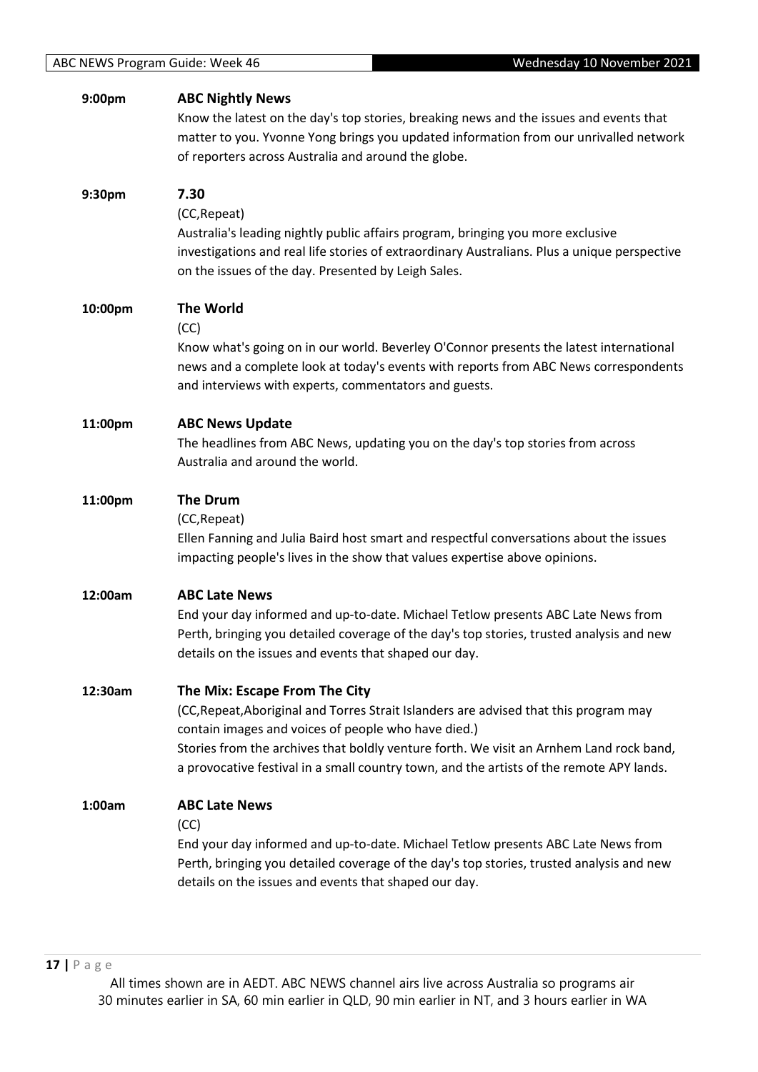| 9:00pm  | <b>ABC Nightly News</b><br>Know the latest on the day's top stories, breaking news and the issues and events that<br>matter to you. Yvonne Yong brings you updated information from our unrivalled network<br>of reporters across Australia and around the globe.                                                                                                    |
|---------|----------------------------------------------------------------------------------------------------------------------------------------------------------------------------------------------------------------------------------------------------------------------------------------------------------------------------------------------------------------------|
| 9:30pm  | 7.30<br>(CC, Repeat)<br>Australia's leading nightly public affairs program, bringing you more exclusive<br>investigations and real life stories of extraordinary Australians. Plus a unique perspective<br>on the issues of the day. Presented by Leigh Sales.                                                                                                       |
| 10:00pm | <b>The World</b><br>(CC)<br>Know what's going on in our world. Beverley O'Connor presents the latest international<br>news and a complete look at today's events with reports from ABC News correspondents<br>and interviews with experts, commentators and guests.                                                                                                  |
| 11:00pm | <b>ABC News Update</b><br>The headlines from ABC News, updating you on the day's top stories from across<br>Australia and around the world.                                                                                                                                                                                                                          |
| 11:00pm | <b>The Drum</b><br>(CC, Repeat)<br>Ellen Fanning and Julia Baird host smart and respectful conversations about the issues<br>impacting people's lives in the show that values expertise above opinions.                                                                                                                                                              |
| 12:00am | <b>ABC Late News</b><br>End your day informed and up-to-date. Michael Tetlow presents ABC Late News from<br>Perth, bringing you detailed coverage of the day's top stories, trusted analysis and new<br>details on the issues and events that shaped our day.                                                                                                        |
| 12:30am | The Mix: Escape From The City<br>(CC, Repeat, Aboriginal and Torres Strait Islanders are advised that this program may<br>contain images and voices of people who have died.)<br>Stories from the archives that boldly venture forth. We visit an Arnhem Land rock band,<br>a provocative festival in a small country town, and the artists of the remote APY lands. |
| 1:00am  | <b>ABC Late News</b><br>(CC)<br>End your day informed and up-to-date. Michael Tetlow presents ABC Late News from<br>Perth, bringing you detailed coverage of the day's top stories, trusted analysis and new<br>details on the issues and events that shaped our day.                                                                                                |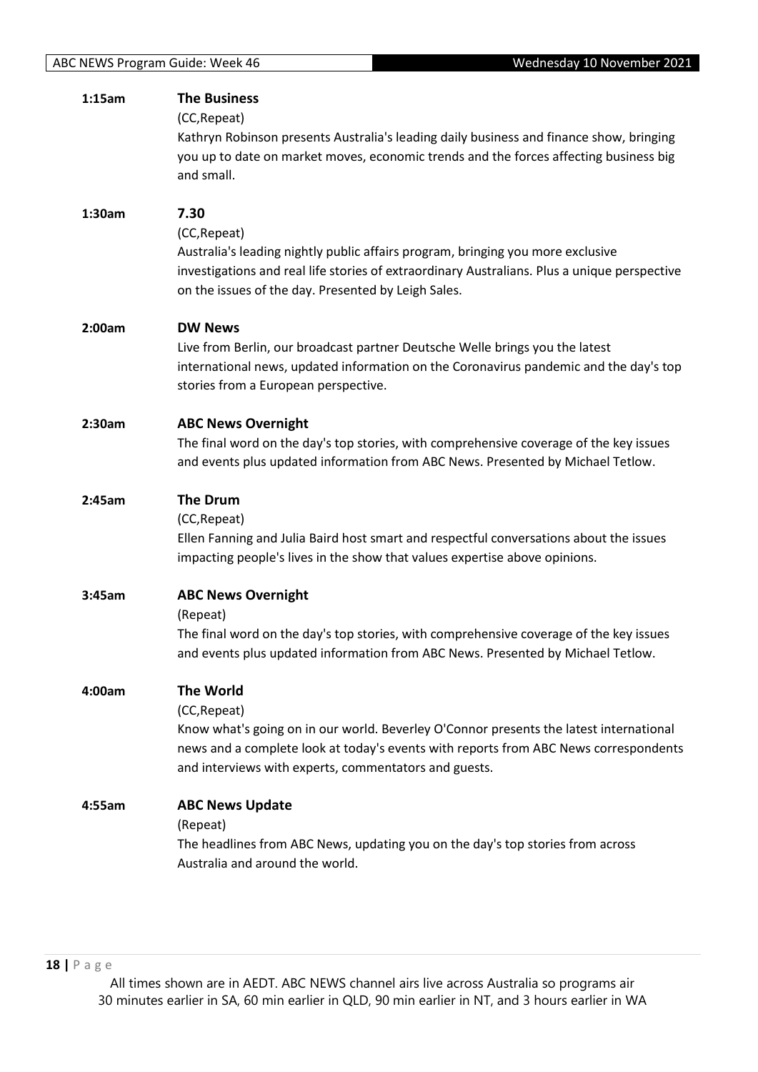| 1:15am | <b>The Business</b><br>(CC, Repeat)                                                                                                                                                                                                                    |
|--------|--------------------------------------------------------------------------------------------------------------------------------------------------------------------------------------------------------------------------------------------------------|
|        | Kathryn Robinson presents Australia's leading daily business and finance show, bringing<br>you up to date on market moves, economic trends and the forces affecting business big<br>and small.                                                         |
| 1:30am | 7.30                                                                                                                                                                                                                                                   |
|        | (CC, Repeat)<br>Australia's leading nightly public affairs program, bringing you more exclusive<br>investigations and real life stories of extraordinary Australians. Plus a unique perspective<br>on the issues of the day. Presented by Leigh Sales. |
| 2:00am | <b>DW News</b>                                                                                                                                                                                                                                         |
|        | Live from Berlin, our broadcast partner Deutsche Welle brings you the latest<br>international news, updated information on the Coronavirus pandemic and the day's top<br>stories from a European perspective.                                          |
| 2:30am | <b>ABC News Overnight</b>                                                                                                                                                                                                                              |
|        | The final word on the day's top stories, with comprehensive coverage of the key issues<br>and events plus updated information from ABC News. Presented by Michael Tetlow.                                                                              |
| 2:45am | <b>The Drum</b>                                                                                                                                                                                                                                        |
|        | (CC, Repeat)<br>Ellen Fanning and Julia Baird host smart and respectful conversations about the issues<br>impacting people's lives in the show that values expertise above opinions.                                                                   |
| 3:45am | <b>ABC News Overnight</b>                                                                                                                                                                                                                              |
|        | (Repeat)<br>The final word on the day's top stories, with comprehensive coverage of the key issues<br>and events plus updated information from ABC News. Presented by Michael Tetlow.                                                                  |
| 4:00am | <b>The World</b>                                                                                                                                                                                                                                       |
|        | (CC, Repeat)<br>Know what's going on in our world. Beverley O'Connor presents the latest international                                                                                                                                                 |
|        | news and a complete look at today's events with reports from ABC News correspondents<br>and interviews with experts, commentators and guests.                                                                                                          |
| 4:55am | <b>ABC News Update</b>                                                                                                                                                                                                                                 |
|        | (Repeat)<br>The headlines from ABC News, updating you on the day's top stories from across<br>Australia and around the world.                                                                                                                          |
|        |                                                                                                                                                                                                                                                        |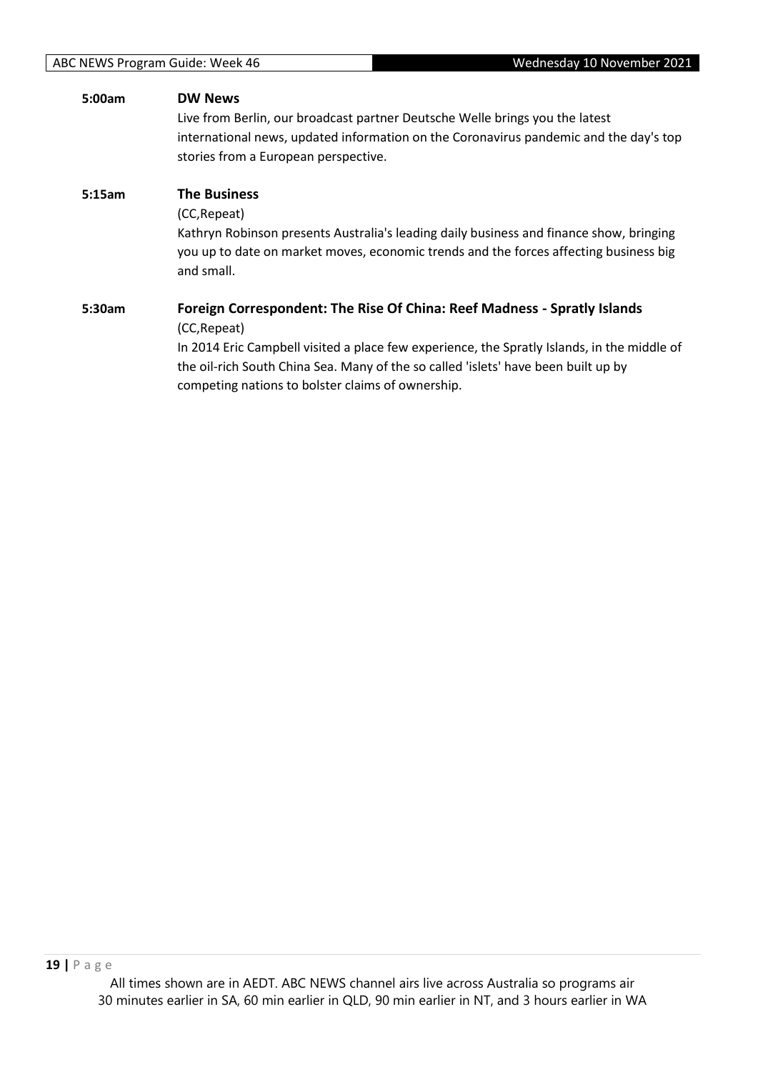| <b>DW News</b>                                                                              |
|---------------------------------------------------------------------------------------------|
| Live from Berlin, our broadcast partner Deutsche Welle brings you the latest                |
| international news, updated information on the Coronavirus pandemic and the day's top       |
| stories from a European perspective.                                                        |
| <b>The Business</b>                                                                         |
| (CC, Repeat)                                                                                |
| Kathryn Robinson presents Australia's leading daily business and finance show, bringing     |
| you up to date on market moves, economic trends and the forces affecting business big       |
| and small.                                                                                  |
| Foreign Correspondent: The Rise Of China: Reef Madness - Spratly Islands                    |
| (CC, Repeat)                                                                                |
| In 2014 Eric Campbell visited a place few experience, the Spratly Islands, in the middle of |
| the oil-rich South China Sea. Many of the so called 'islets' have been built up by          |
| competing nations to bolster claims of ownership.                                           |
|                                                                                             |
|                                                                                             |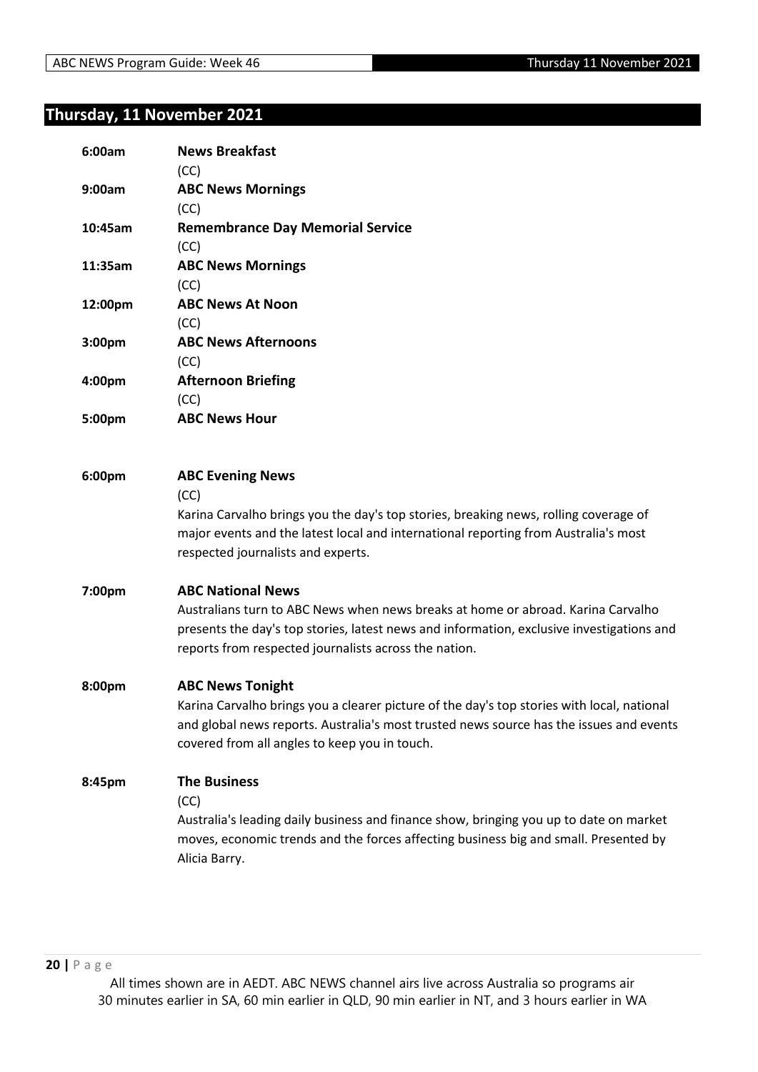# **Thursday, 11 November 2021**

| 6:00am  | <b>News Breakfast</b><br>(CC)                                                                                                                                                                                                                                      |
|---------|--------------------------------------------------------------------------------------------------------------------------------------------------------------------------------------------------------------------------------------------------------------------|
| 9:00am  | <b>ABC News Mornings</b><br>(CC)                                                                                                                                                                                                                                   |
| 10:45am | <b>Remembrance Day Memorial Service</b><br>(CC)                                                                                                                                                                                                                    |
| 11:35am | <b>ABC News Mornings</b><br>(CC)                                                                                                                                                                                                                                   |
| 12:00pm | <b>ABC News At Noon</b><br>(CC)                                                                                                                                                                                                                                    |
| 3:00pm  | <b>ABC News Afternoons</b><br>(CC)                                                                                                                                                                                                                                 |
| 4:00pm  | <b>Afternoon Briefing</b><br>(CC)                                                                                                                                                                                                                                  |
| 5:00pm  | <b>ABC News Hour</b>                                                                                                                                                                                                                                               |
| 6:00pm  | <b>ABC Evening News</b><br>(CC)<br>Karina Carvalho brings you the day's top stories, breaking news, rolling coverage of<br>major events and the latest local and international reporting from Australia's most<br>respected journalists and experts.               |
| 7:00pm  | <b>ABC National News</b><br>Australians turn to ABC News when news breaks at home or abroad. Karina Carvalho<br>presents the day's top stories, latest news and information, exclusive investigations and<br>reports from respected journalists across the nation. |
| 8:00pm  | <b>ABC News Tonight</b><br>Karina Carvalho brings you a clearer picture of the day's top stories with local, national<br>and global news reports. Australia's most trusted news source has the issues and events<br>covered from all angles to keep you in touch.  |
| 8:45pm  | <b>The Business</b><br>(CC)<br>Australia's leading daily business and finance show, bringing you up to date on market<br>moves, economic trends and the forces affecting business big and small. Presented by<br>Alicia Barry.                                     |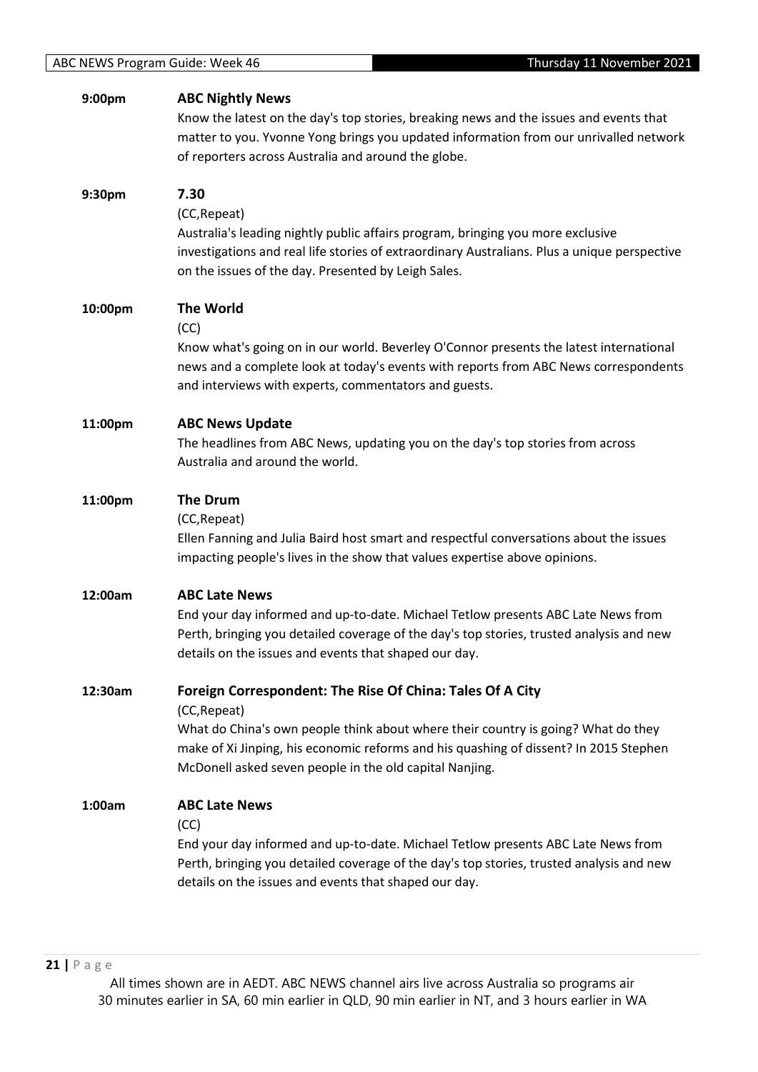| 9:00pm  | <b>ABC Nightly News</b><br>Know the latest on the day's top stories, breaking news and the issues and events that<br>matter to you. Yvonne Yong brings you updated information from our unrivalled network<br>of reporters across Australia and around the globe.                                                  |
|---------|--------------------------------------------------------------------------------------------------------------------------------------------------------------------------------------------------------------------------------------------------------------------------------------------------------------------|
| 9:30pm  | 7.30<br>(CC, Repeat)<br>Australia's leading nightly public affairs program, bringing you more exclusive<br>investigations and real life stories of extraordinary Australians. Plus a unique perspective<br>on the issues of the day. Presented by Leigh Sales.                                                     |
| 10:00pm | <b>The World</b><br>(CC)<br>Know what's going on in our world. Beverley O'Connor presents the latest international<br>news and a complete look at today's events with reports from ABC News correspondents<br>and interviews with experts, commentators and guests.                                                |
| 11:00pm | <b>ABC News Update</b><br>The headlines from ABC News, updating you on the day's top stories from across<br>Australia and around the world.                                                                                                                                                                        |
| 11:00pm | <b>The Drum</b><br>(CC, Repeat)<br>Ellen Fanning and Julia Baird host smart and respectful conversations about the issues<br>impacting people's lives in the show that values expertise above opinions.                                                                                                            |
| 12:00am | <b>ABC Late News</b><br>End your day informed and up-to-date. Michael Tetlow presents ABC Late News from<br>Perth, bringing you detailed coverage of the day's top stories, trusted analysis and new<br>details on the issues and events that shaped our day.                                                      |
| 12:30am | Foreign Correspondent: The Rise Of China: Tales Of A City<br>(CC, Repeat)<br>What do China's own people think about where their country is going? What do they<br>make of Xi Jinping, his economic reforms and his quashing of dissent? In 2015 Stephen<br>McDonell asked seven people in the old capital Nanjing. |
| 1:00am  | <b>ABC Late News</b><br>(CC)<br>End your day informed and up-to-date. Michael Tetlow presents ABC Late News from<br>Perth, bringing you detailed coverage of the day's top stories, trusted analysis and new<br>details on the issues and events that shaped our day.                                              |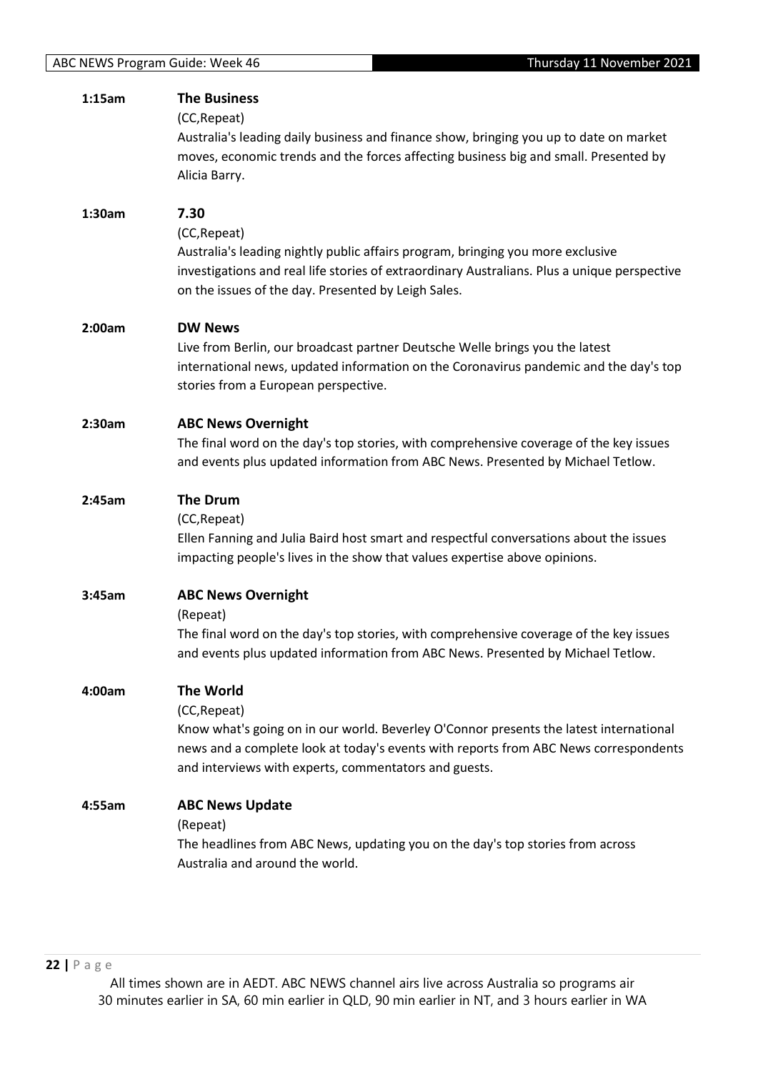| 1:15am | <b>The Business</b>                                                                                                                                                                                                                                                         |
|--------|-----------------------------------------------------------------------------------------------------------------------------------------------------------------------------------------------------------------------------------------------------------------------------|
|        | (CC, Repeat)<br>Australia's leading daily business and finance show, bringing you up to date on market<br>moves, economic trends and the forces affecting business big and small. Presented by<br>Alicia Barry.                                                             |
| 1:30am | 7.30<br>(CC, Repeat)<br>Australia's leading nightly public affairs program, bringing you more exclusive<br>investigations and real life stories of extraordinary Australians. Plus a unique perspective<br>on the issues of the day. Presented by Leigh Sales.              |
| 2:00am | <b>DW News</b><br>Live from Berlin, our broadcast partner Deutsche Welle brings you the latest<br>international news, updated information on the Coronavirus pandemic and the day's top<br>stories from a European perspective.                                             |
| 2:30am | <b>ABC News Overnight</b><br>The final word on the day's top stories, with comprehensive coverage of the key issues<br>and events plus updated information from ABC News. Presented by Michael Tetlow.                                                                      |
| 2:45am | <b>The Drum</b><br>(CC, Repeat)<br>Ellen Fanning and Julia Baird host smart and respectful conversations about the issues<br>impacting people's lives in the show that values expertise above opinions.                                                                     |
| 3:45am | <b>ABC News Overnight</b><br>(Repeat)<br>The final word on the day's top stories, with comprehensive coverage of the key issues<br>and events plus updated information from ABC News. Presented by Michael Tetlow.                                                          |
| 4:00am | <b>The World</b><br>(CC, Repeat)<br>Know what's going on in our world. Beverley O'Connor presents the latest international<br>news and a complete look at today's events with reports from ABC News correspondents<br>and interviews with experts, commentators and guests. |
| 4:55am | <b>ABC News Update</b><br>(Repeat)<br>The headlines from ABC News, updating you on the day's top stories from across<br>Australia and around the world.                                                                                                                     |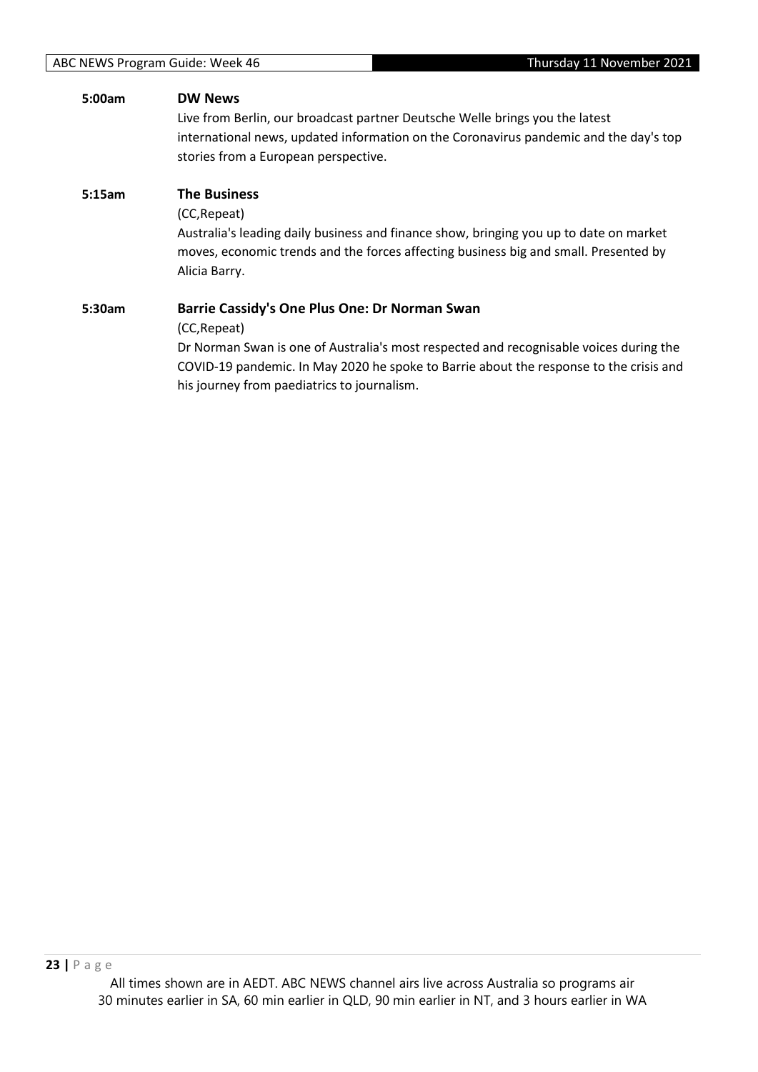| 5:00am | <b>DW News</b>                                                                         |
|--------|----------------------------------------------------------------------------------------|
|        | Live from Berlin, our broadcast partner Deutsche Welle brings you the latest           |
|        | international news, updated information on the Coronavirus pandemic and the day's top  |
|        | stories from a European perspective.                                                   |
| 5:15am | <b>The Business</b>                                                                    |
|        | (CC, Repeat)                                                                           |
|        | Australia's leading daily business and finance show, bringing you up to date on market |
|        | moves, economic trends and the forces affecting business big and small. Presented by   |
|        | Alicia Barry.                                                                          |
| 5:30am | Barrie Cassidy's One Plus One: Dr Norman Swan                                          |
|        | (CC, Repeat)                                                                           |
|        | Dr Norman Swan is one of Australia's most respected and recognisable voices during the |
|        | COVID-19 pandemic. In May 2020 he spoke to Barrie about the response to the crisis and |
|        | his journey from paediatrics to journalism.                                            |
|        |                                                                                        |
|        |                                                                                        |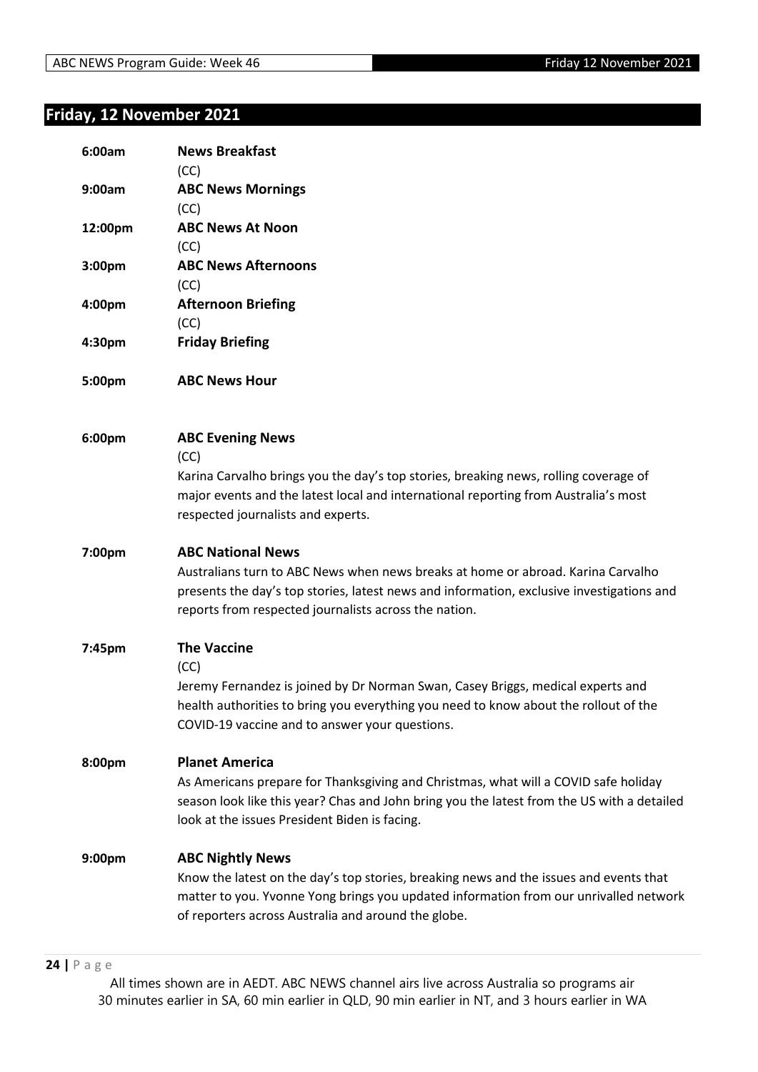# **Friday, 12 November 2021**

| 6:00am             | <b>News Breakfast</b><br>(CC)                                                                                                                                                                                                                                      |
|--------------------|--------------------------------------------------------------------------------------------------------------------------------------------------------------------------------------------------------------------------------------------------------------------|
| 9:00am             | <b>ABC News Mornings</b><br>(CC)                                                                                                                                                                                                                                   |
| 12:00pm            | <b>ABC News At Noon</b><br>(CC)                                                                                                                                                                                                                                    |
| 3:00 <sub>pm</sub> | <b>ABC News Afternoons</b><br>(CC)                                                                                                                                                                                                                                 |
| 4:00pm             | <b>Afternoon Briefing</b><br>(CC)                                                                                                                                                                                                                                  |
| 4:30pm             | <b>Friday Briefing</b>                                                                                                                                                                                                                                             |
| 5:00pm             | <b>ABC News Hour</b>                                                                                                                                                                                                                                               |
| 6:00pm             | <b>ABC Evening News</b><br>(CC)<br>Karina Carvalho brings you the day's top stories, breaking news, rolling coverage of<br>major events and the latest local and international reporting from Australia's most<br>respected journalists and experts.               |
| 7:00pm             | <b>ABC National News</b><br>Australians turn to ABC News when news breaks at home or abroad. Karina Carvalho<br>presents the day's top stories, latest news and information, exclusive investigations and<br>reports from respected journalists across the nation. |
| 7:45pm             | <b>The Vaccine</b><br>(CC)<br>Jeremy Fernandez is joined by Dr Norman Swan, Casey Briggs, medical experts and<br>health authorities to bring you everything you need to know about the rollout of the<br>COVID-19 vaccine and to answer your questions.            |
| 8:00pm             | <b>Planet America</b><br>As Americans prepare for Thanksgiving and Christmas, what will a COVID safe holiday<br>season look like this year? Chas and John bring you the latest from the US with a detailed<br>look at the issues President Biden is facing.        |
| 9:00pm             | <b>ABC Nightly News</b><br>Know the latest on the day's top stories, breaking news and the issues and events that<br>matter to you. Yvonne Yong brings you updated information from our unrivalled network<br>of reporters across Australia and around the globe.  |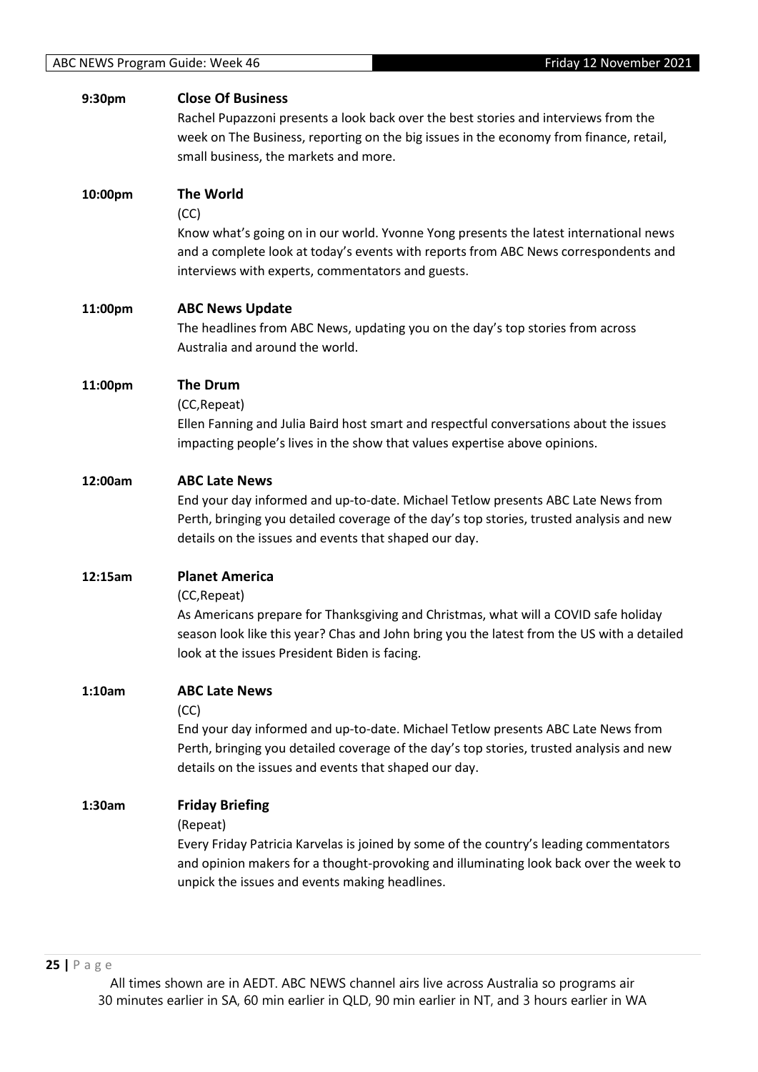#### **9:30pm Close Of Business**

Rachel Pupazzoni presents a look back over the best stories and interviews from the week on The Business, reporting on the big issues in the economy from finance, retail, small business, the markets and more.

# **10:00pm The World**

(CC)

Know what's going on in our world. Yvonne Yong presents the latest international news and a complete look at today's events with reports from ABC News correspondents and interviews with experts, commentators and guests.

#### **11:00pm ABC News Update**

The headlines from ABC News, updating you on the day's top stories from across Australia and around the world.

#### **11:00pm The Drum**

(CC,Repeat)

Ellen Fanning and Julia Baird host smart and respectful conversations about the issues impacting people's lives in the show that values expertise above opinions.

#### **12:00am ABC Late News**

End your day informed and up-to-date. Michael Tetlow presents ABC Late News from Perth, bringing you detailed coverage of the day's top stories, trusted analysis and new details on the issues and events that shaped our day.

#### **12:15am Planet America**

(CC,Repeat)

As Americans prepare for Thanksgiving and Christmas, what will a COVID safe holiday season look like this year? Chas and John bring you the latest from the US with a detailed look at the issues President Biden is facing.

#### **1:10am ABC Late News**

(CC)

End your day informed and up-to-date. Michael Tetlow presents ABC Late News from Perth, bringing you detailed coverage of the day's top stories, trusted analysis and new details on the issues and events that shaped our day.

#### **1:30am Friday Briefing**

(Repeat)

Every Friday Patricia Karvelas is joined by some of the country's leading commentators and opinion makers for a thought-provoking and illuminating look back over the week to unpick the issues and events making headlines.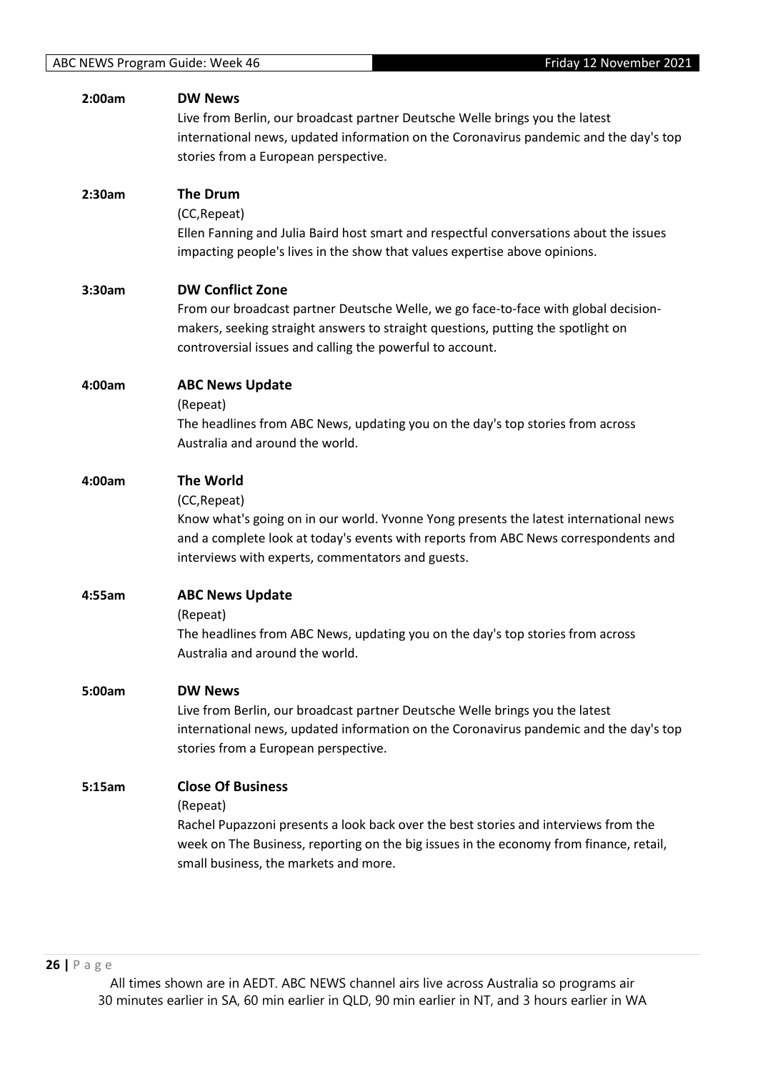| 2:00am | <b>DW News</b>                                                                                                                                                        |
|--------|-----------------------------------------------------------------------------------------------------------------------------------------------------------------------|
|        | Live from Berlin, our broadcast partner Deutsche Welle brings you the latest<br>international news, updated information on the Coronavirus pandemic and the day's top |
|        | stories from a European perspective.                                                                                                                                  |
|        |                                                                                                                                                                       |
| 2:30am | <b>The Drum</b>                                                                                                                                                       |
|        | (CC, Repeat)                                                                                                                                                          |
|        | Ellen Fanning and Julia Baird host smart and respectful conversations about the issues                                                                                |
|        | impacting people's lives in the show that values expertise above opinions.                                                                                            |
| 3:30am | <b>DW Conflict Zone</b>                                                                                                                                               |
|        | From our broadcast partner Deutsche Welle, we go face-to-face with global decision-                                                                                   |
|        | makers, seeking straight answers to straight questions, putting the spotlight on                                                                                      |
|        | controversial issues and calling the powerful to account.                                                                                                             |
| 4:00am | <b>ABC News Update</b>                                                                                                                                                |
|        | (Repeat)                                                                                                                                                              |
|        | The headlines from ABC News, updating you on the day's top stories from across                                                                                        |
|        | Australia and around the world.                                                                                                                                       |
| 4:00am | <b>The World</b>                                                                                                                                                      |
|        | (CC, Repeat)                                                                                                                                                          |
|        | Know what's going on in our world. Yvonne Yong presents the latest international news                                                                                 |
|        | and a complete look at today's events with reports from ABC News correspondents and                                                                                   |
|        | interviews with experts, commentators and guests.                                                                                                                     |
| 4:55am | <b>ABC News Update</b>                                                                                                                                                |
|        | (Repeat)                                                                                                                                                              |
|        | The headlines from ABC News, updating you on the day's top stories from across                                                                                        |
|        | Australia and around the world.                                                                                                                                       |
| 5:00am | <b>DW News</b>                                                                                                                                                        |
|        | Live from Berlin, our broadcast partner Deutsche Welle brings you the latest                                                                                          |
|        | international news, updated information on the Coronavirus pandemic and the day's top                                                                                 |
|        | stories from a European perspective.                                                                                                                                  |
| 5:15am | <b>Close Of Business</b>                                                                                                                                              |
|        | (Repeat)                                                                                                                                                              |
|        | Rachel Pupazzoni presents a look back over the best stories and interviews from the                                                                                   |
|        | week on The Business, reporting on the big issues in the economy from finance, retail,                                                                                |
|        | small business, the markets and more.                                                                                                                                 |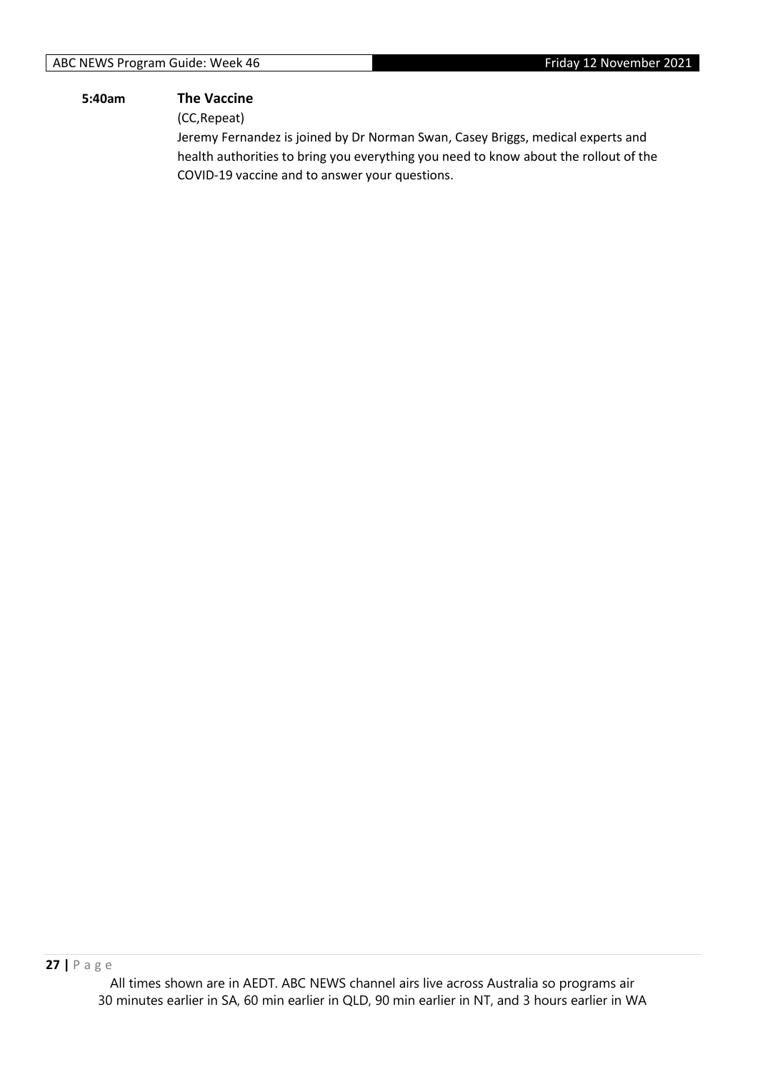#### **5:40am The Vaccine**

(CC,Repeat)

Jeremy Fernandez is joined by Dr Norman Swan, Casey Briggs, medical experts and health authorities to bring you everything you need to know about the rollout of the COVID-19 vaccine and to answer your questions.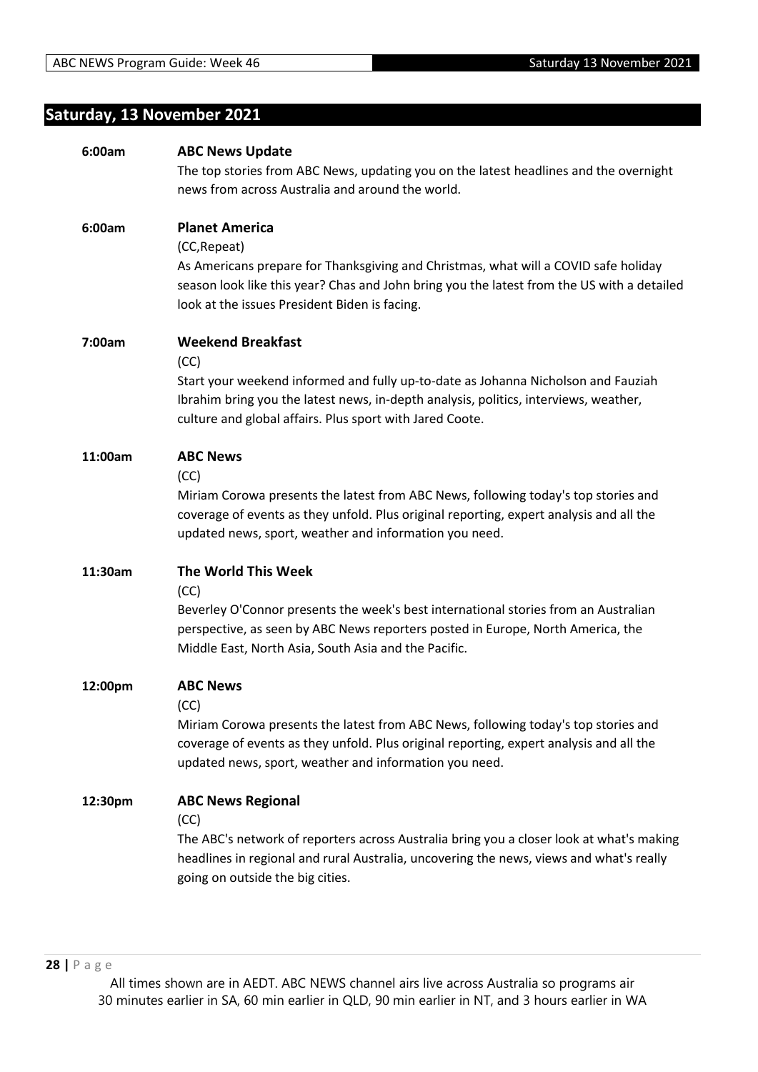# **Saturday, 13 November 2021**

| 6:00am  | <b>ABC News Update</b>                                                                      |
|---------|---------------------------------------------------------------------------------------------|
|         | The top stories from ABC News, updating you on the latest headlines and the overnight       |
|         | news from across Australia and around the world.                                            |
| 6:00am  | <b>Planet America</b>                                                                       |
|         | (CC, Repeat)                                                                                |
|         | As Americans prepare for Thanksgiving and Christmas, what will a COVID safe holiday         |
|         | season look like this year? Chas and John bring you the latest from the US with a detailed  |
|         | look at the issues President Biden is facing.                                               |
|         |                                                                                             |
| 7:00am  | <b>Weekend Breakfast</b>                                                                    |
|         | (CC)                                                                                        |
|         | Start your weekend informed and fully up-to-date as Johanna Nicholson and Fauziah           |
|         | Ibrahim bring you the latest news, in-depth analysis, politics, interviews, weather,        |
|         | culture and global affairs. Plus sport with Jared Coote.                                    |
|         |                                                                                             |
| 11:00am | <b>ABC News</b>                                                                             |
|         | (CC)                                                                                        |
|         | Miriam Corowa presents the latest from ABC News, following today's top stories and          |
|         | coverage of events as they unfold. Plus original reporting, expert analysis and all the     |
|         | updated news, sport, weather and information you need.                                      |
|         |                                                                                             |
| 11:30am | The World This Week                                                                         |
|         | (CC)<br>Beverley O'Connor presents the week's best international stories from an Australian |
|         | perspective, as seen by ABC News reporters posted in Europe, North America, the             |
|         | Middle East, North Asia, South Asia and the Pacific.                                        |
|         |                                                                                             |
| 12:00pm | <b>ABC News</b>                                                                             |
|         | (CC)                                                                                        |
|         | Miriam Corowa presents the latest from ABC News, following today's top stories and          |
|         | coverage of events as they unfold. Plus original reporting, expert analysis and all the     |
|         | updated news, sport, weather and information you need.                                      |
|         |                                                                                             |
| 12:30pm | <b>ABC News Regional</b>                                                                    |
|         | (CC)                                                                                        |
|         | The ABC's network of reporters across Australia bring you a closer look at what's making    |
|         | headlines in regional and rural Australia, uncovering the news, views and what's really     |
|         | going on outside the big cities.                                                            |
|         |                                                                                             |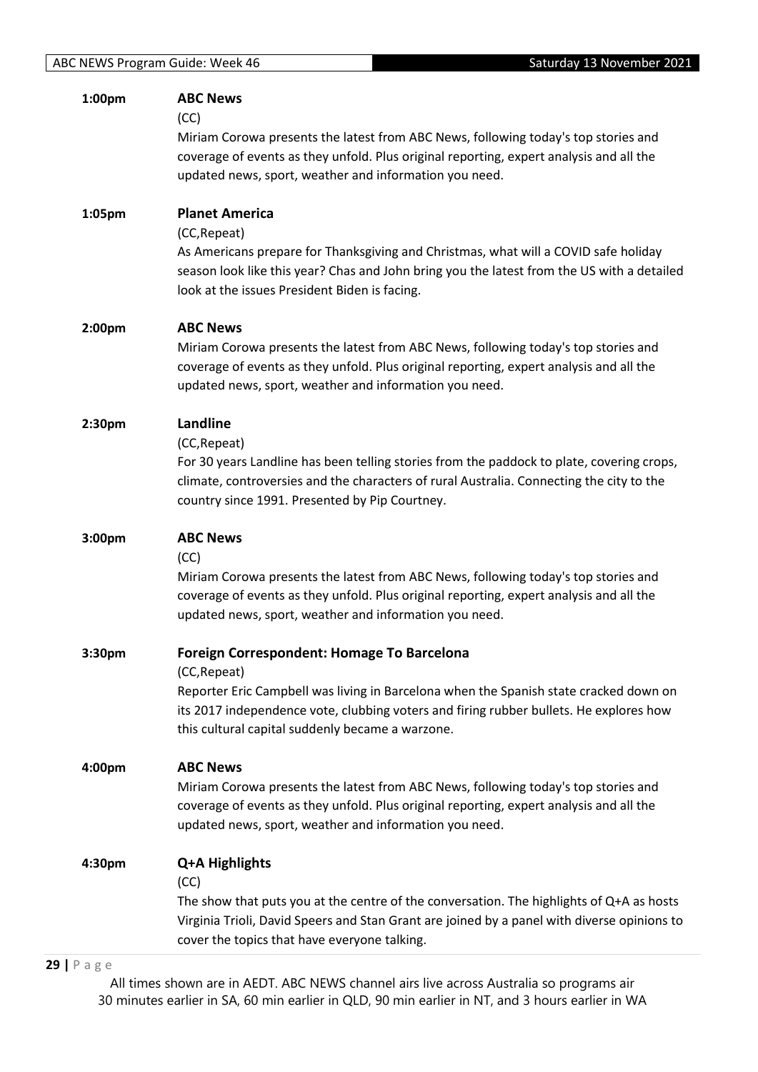| 1:00pm | <b>ABC News</b>                                                                                                                                   |
|--------|---------------------------------------------------------------------------------------------------------------------------------------------------|
|        | (CC)                                                                                                                                              |
|        | Miriam Corowa presents the latest from ABC News, following today's top stories and                                                                |
|        | coverage of events as they unfold. Plus original reporting, expert analysis and all the                                                           |
|        | updated news, sport, weather and information you need.                                                                                            |
|        |                                                                                                                                                   |
| 1:05pm | <b>Planet America</b>                                                                                                                             |
|        | (CC, Repeat)                                                                                                                                      |
|        | As Americans prepare for Thanksgiving and Christmas, what will a COVID safe holiday                                                               |
|        | season look like this year? Chas and John bring you the latest from the US with a detailed                                                        |
|        |                                                                                                                                                   |
|        | look at the issues President Biden is facing.                                                                                                     |
| 2:00pm | <b>ABC News</b>                                                                                                                                   |
|        | Miriam Corowa presents the latest from ABC News, following today's top stories and                                                                |
|        | coverage of events as they unfold. Plus original reporting, expert analysis and all the                                                           |
|        | updated news, sport, weather and information you need.                                                                                            |
|        |                                                                                                                                                   |
| 2:30pm | Landline                                                                                                                                          |
|        | (CC, Repeat)                                                                                                                                      |
|        | For 30 years Landline has been telling stories from the paddock to plate, covering crops,                                                         |
|        | climate, controversies and the characters of rural Australia. Connecting the city to the                                                          |
|        | country since 1991. Presented by Pip Courtney.                                                                                                    |
|        |                                                                                                                                                   |
| 3:00pm | <b>ABC News</b>                                                                                                                                   |
|        | (CC)                                                                                                                                              |
|        |                                                                                                                                                   |
|        | Miriam Corowa presents the latest from ABC News, following today's top stories and                                                                |
|        |                                                                                                                                                   |
|        | coverage of events as they unfold. Plus original reporting, expert analysis and all the<br>updated news, sport, weather and information you need. |
|        |                                                                                                                                                   |
| 3:30pm | Foreign Correspondent: Homage To Barcelona                                                                                                        |
|        | (CC, Repeat)                                                                                                                                      |
|        | Reporter Eric Campbell was living in Barcelona when the Spanish state cracked down on                                                             |
|        | its 2017 independence vote, clubbing voters and firing rubber bullets. He explores how                                                            |
|        | this cultural capital suddenly became a warzone.                                                                                                  |
|        |                                                                                                                                                   |
| 4:00pm | <b>ABC News</b>                                                                                                                                   |
|        | Miriam Corowa presents the latest from ABC News, following today's top stories and                                                                |
|        | coverage of events as they unfold. Plus original reporting, expert analysis and all the                                                           |
|        | updated news, sport, weather and information you need.                                                                                            |
|        |                                                                                                                                                   |
| 4:30pm | Q+A Highlights                                                                                                                                    |
|        | (CC)                                                                                                                                              |
|        | The show that puts you at the centre of the conversation. The highlights of Q+A as hosts                                                          |
|        | Virginia Trioli, David Speers and Stan Grant are joined by a panel with diverse opinions to<br>cover the topics that have everyone talking.       |

#### **29 |** P a g e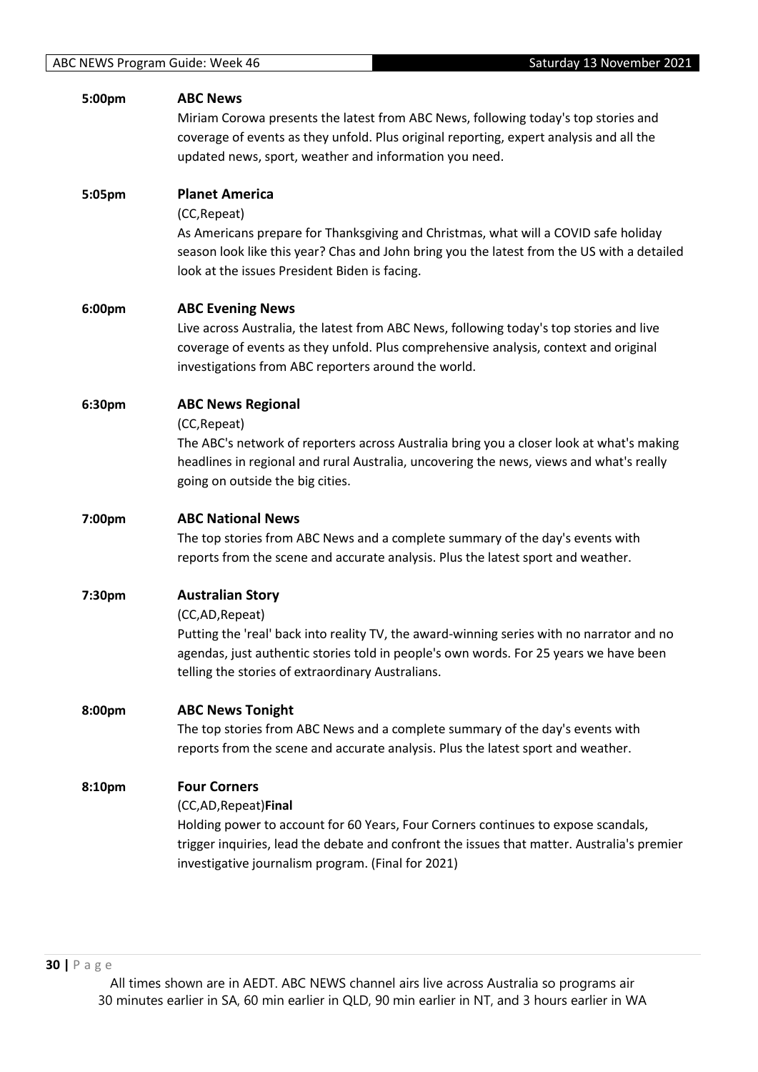| 5:00pm | <b>ABC News</b><br>Miriam Corowa presents the latest from ABC News, following today's top stories and                                                                             |
|--------|-----------------------------------------------------------------------------------------------------------------------------------------------------------------------------------|
|        | coverage of events as they unfold. Plus original reporting, expert analysis and all the                                                                                           |
|        | updated news, sport, weather and information you need.                                                                                                                            |
| 5:05pm | <b>Planet America</b>                                                                                                                                                             |
|        | (CC, Repeat)                                                                                                                                                                      |
|        | As Americans prepare for Thanksgiving and Christmas, what will a COVID safe holiday<br>season look like this year? Chas and John bring you the latest from the US with a detailed |
|        | look at the issues President Biden is facing.                                                                                                                                     |
| 6:00pm | <b>ABC Evening News</b>                                                                                                                                                           |
|        | Live across Australia, the latest from ABC News, following today's top stories and live                                                                                           |
|        | coverage of events as they unfold. Plus comprehensive analysis, context and original<br>investigations from ABC reporters around the world.                                       |
| 6:30pm | <b>ABC News Regional</b>                                                                                                                                                          |
|        | (CC, Repeat)                                                                                                                                                                      |
|        | The ABC's network of reporters across Australia bring you a closer look at what's making                                                                                          |
|        | headlines in regional and rural Australia, uncovering the news, views and what's really<br>going on outside the big cities.                                                       |
|        |                                                                                                                                                                                   |
| 7:00pm | <b>ABC National News</b>                                                                                                                                                          |
|        | The top stories from ABC News and a complete summary of the day's events with                                                                                                     |
|        | reports from the scene and accurate analysis. Plus the latest sport and weather.                                                                                                  |
| 7:30pm | <b>Australian Story</b>                                                                                                                                                           |
|        | (CC,AD, Repeat)                                                                                                                                                                   |
|        | Putting the 'real' back into reality TV, the award-winning series with no narrator and no                                                                                         |
|        | agendas, just authentic stories told in people's own words. For 25 years we have been<br>telling the stories of extraordinary Australians.                                        |
| 8:00pm | <b>ABC News Tonight</b>                                                                                                                                                           |
|        | The top stories from ABC News and a complete summary of the day's events with                                                                                                     |
|        | reports from the scene and accurate analysis. Plus the latest sport and weather.                                                                                                  |
| 8:10pm | <b>Four Corners</b>                                                                                                                                                               |
|        | (CC,AD, Repeat) Final                                                                                                                                                             |
|        | Holding power to account for 60 Years, Four Corners continues to expose scandals,                                                                                                 |
|        | trigger inquiries, lead the debate and confront the issues that matter. Australia's premier<br>investigative journalism program. (Final for 2021)                                 |
|        |                                                                                                                                                                                   |
|        |                                                                                                                                                                                   |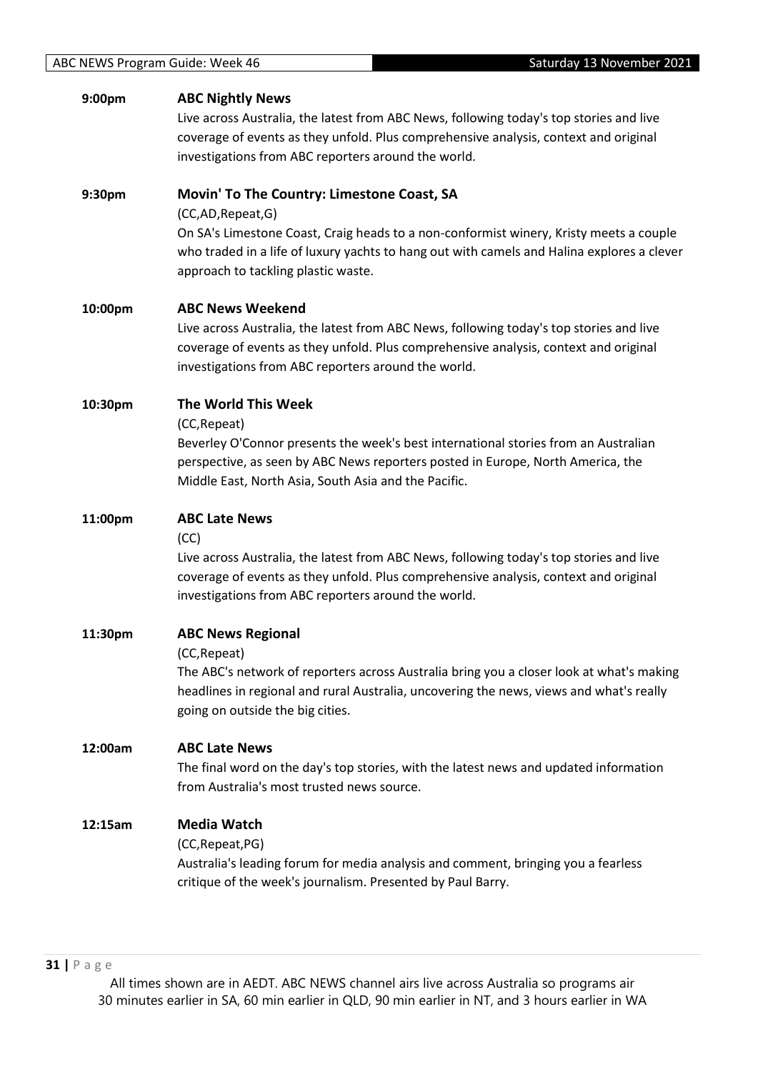#### **9:00pm ABC Nightly News**

Live across Australia, the latest from ABC News, following today's top stories and live coverage of events as they unfold. Plus comprehensive analysis, context and original investigations from ABC reporters around the world.

#### **9:30pm Movin' To The Country: Limestone Coast, SA**

(CC,AD,Repeat,G)

On SA's Limestone Coast, Craig heads to a non-conformist winery, Kristy meets a couple who traded in a life of luxury yachts to hang out with camels and Halina explores a clever approach to tackling plastic waste.

#### **10:00pm ABC News Weekend**

Live across Australia, the latest from ABC News, following today's top stories and live coverage of events as they unfold. Plus comprehensive analysis, context and original investigations from ABC reporters around the world.

#### **10:30pm The World This Week**

(CC,Repeat)

Beverley O'Connor presents the week's best international stories from an Australian perspective, as seen by ABC News reporters posted in Europe, North America, the Middle East, North Asia, South Asia and the Pacific.

#### **11:00pm ABC Late News**

(CC)

Live across Australia, the latest from ABC News, following today's top stories and live coverage of events as they unfold. Plus comprehensive analysis, context and original investigations from ABC reporters around the world.

# **11:30pm ABC News Regional** (CC,Repeat) The ABC's network of reporters across Australia bring you a closer look at what's making headlines in regional and rural Australia, uncovering the news, views and what's really going on outside the big cities.

## **12:00am ABC Late News**

The final word on the day's top stories, with the latest news and updated information from Australia's most trusted news source.

## **12:15am Media Watch**

(CC,Repeat,PG)

Australia's leading forum for media analysis and comment, bringing you a fearless critique of the week's journalism. Presented by Paul Barry.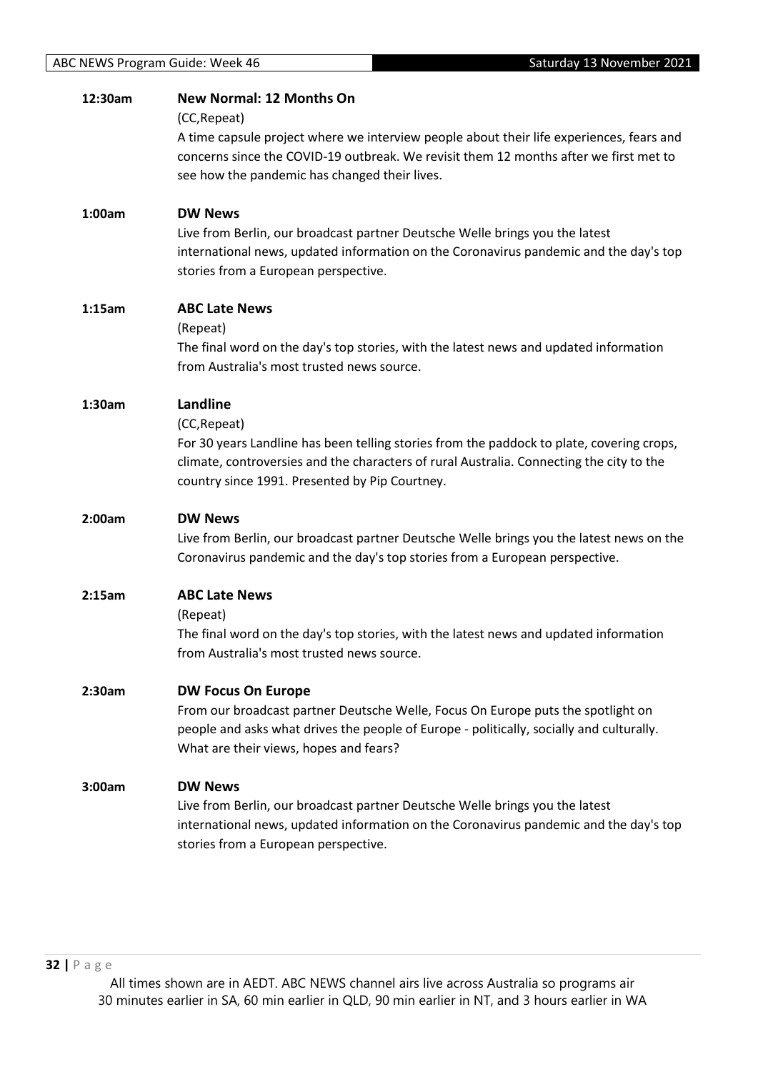| 12:30am | <b>New Normal: 12 Months On</b><br>(CC, Repeat)<br>A time capsule project where we interview people about their life experiences, fears and<br>concerns since the COVID-19 outbreak. We revisit them 12 months after we first met to<br>see how the pandemic has changed their lives. |
|---------|---------------------------------------------------------------------------------------------------------------------------------------------------------------------------------------------------------------------------------------------------------------------------------------|
| 1:00am  | <b>DW News</b><br>Live from Berlin, our broadcast partner Deutsche Welle brings you the latest<br>international news, updated information on the Coronavirus pandemic and the day's top<br>stories from a European perspective.                                                       |
| 1:15am  | <b>ABC Late News</b><br>(Repeat)<br>The final word on the day's top stories, with the latest news and updated information<br>from Australia's most trusted news source.                                                                                                               |
| 1:30am  | Landline<br>(CC, Repeat)<br>For 30 years Landline has been telling stories from the paddock to plate, covering crops,<br>climate, controversies and the characters of rural Australia. Connecting the city to the<br>country since 1991. Presented by Pip Courtney.                   |
| 2:00am  | <b>DW News</b><br>Live from Berlin, our broadcast partner Deutsche Welle brings you the latest news on the<br>Coronavirus pandemic and the day's top stories from a European perspective.                                                                                             |
| 2:15am  | <b>ABC Late News</b><br>(Repeat)<br>The final word on the day's top stories, with the latest news and updated information<br>from Australia's most trusted news source.                                                                                                               |
| 2:30am  | <b>DW Focus On Europe</b><br>From our broadcast partner Deutsche Welle, Focus On Europe puts the spotlight on<br>people and asks what drives the people of Europe - politically, socially and culturally.<br>What are their views, hopes and fears?                                   |
| 3:00am  | <b>DW News</b><br>Live from Berlin, our broadcast partner Deutsche Welle brings you the latest<br>international news, updated information on the Coronavirus pandemic and the day's top<br>stories from a European perspective.                                                       |